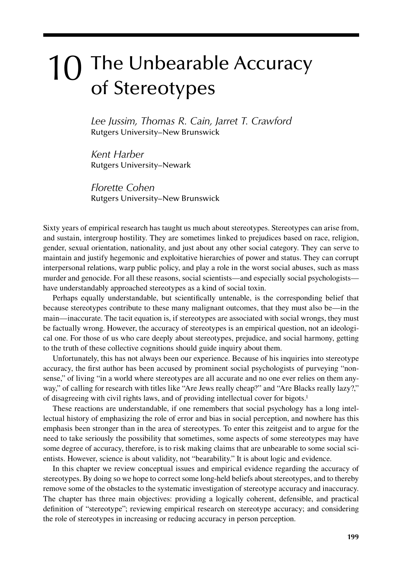# 10 The Unbearable Accuracy of Stereotypes

*Lee Jussim, Thomas R. Cain, Jarret T. Crawford* Rutgers University–New Brunswick

*Kent Harber* Rutgers University–Newark

*Florette Cohen* Rutgers University–New Brunswick

Sixty years of empirical research has taught us much about stereotypes. Stereotypes can arise from, and sustain, intergroup hostility. They are sometimes linked to prejudices based on race, religion, gender, sexual orientation, nationality, and just about any other social category. They can serve to maintain and justify hegemonic and exploitative hierarchies of power and status. They can corrupt interpersonal relations, warp public policy, and play a role in the worst social abuses, such as mass murder and genocide. For all these reasons, social scientists—and especially social psychologists have understandably approached stereotypes as a kind of social toxin.

Perhaps equally understandable, but scientifically untenable, is the corresponding belief that because stereotypes contribute to these many malignant outcomes, that they must also be—in the main—inaccurate. The tacit equation is, if stereotypes are associated with social wrongs, they must be factually wrong. However, the accuracy of stereotypes is an empirical question, not an ideological one. For those of us who care deeply about stereotypes, prejudice, and social harmony, getting to the truth of these collective cognitions should guide inquiry about them.

Unfortunately, this has not always been our experience. Because of his inquiries into stereotype accuracy, the first author has been accused by prominent social psychologists of purveying "nonsense," of living "in a world where stereotypes are all accurate and no one ever relies on them anyway," of calling for research with titles like "Are Jews really cheap?" and "Are Blacks really lazy?," of disagreeing with civil rights laws, and of providing intellectual cover for bigots.<sup>1</sup>

These reactions are understandable, if one remembers that social psychology has a long intellectual history of emphasizing the role of error and bias in social perception, and nowhere has this emphasis been stronger than in the area of stereotypes. To enter this zeitgeist and to argue for the need to take seriously the possibility that sometimes, some aspects of some stereotypes may have some degree of accuracy, therefore, is to risk making claims that are unbearable to some social scientists. However, science is about validity, not "bearability." It is about logic and evidence.

In this chapter we review conceptual issues and empirical evidence regarding the accuracy of stereotypes. By doing so we hope to correct some long-held beliefs about stereotypes, and to thereby remove some of the obstacles to the systematic investigation of stereotype accuracy and inaccuracy. The chapter has three main objectives: providing a logically coherent, defensible, and practical definition of "stereotype"; reviewing empirical research on stereotype accuracy; and considering the role of stereotypes in increasing or reducing accuracy in person perception.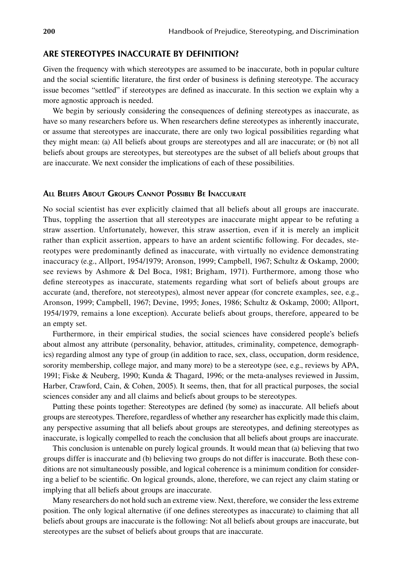# **Are Stereotypes Inaccurate by Definition?**

Given the frequency with which stereotypes are assumed to be inaccurate, both in popular culture and the social scientific literature, the first order of business is defining stereotype. The accuracy issue becomes "settled" if stereotypes are defined as inaccurate. In this section we explain why a more agnostic approach is needed.

We begin by seriously considering the consequences of defining stereotypes as inaccurate, as have so many researchers before us. When researchers define stereotypes as inherently inaccurate, or assume that stereotypes are inaccurate, there are only two logical possibilities regarding what they might mean: (a) All beliefs about groups are stereotypes and all are inaccurate; or (b) not all beliefs about groups are stereotypes, but stereotypes are the subset of all beliefs about groups that are inaccurate. We next consider the implications of each of these possibilities.

# **All Beliefs About Groups Cannot Possibly Be Inaccurate**

No social scientist has ever explicitly claimed that all beliefs about all groups are inaccurate. Thus, toppling the assertion that all stereotypes are inaccurate might appear to be refuting a straw assertion. Unfortunately, however, this straw assertion, even if it is merely an implicit rather than explicit assertion, appears to have an ardent scientific following. For decades, stereotypes were predominantly defined as inaccurate, with virtually no evidence demonstrating inaccuracy (e.g., Allport, 1954/1979; Aronson, 1999; Campbell, 1967; Schultz & Oskamp, 2000; see reviews by Ashmore & Del Boca, 1981; Brigham, 1971). Furthermore, among those who define stereotypes as inaccurate, statements regarding what sort of beliefs about groups are accurate (and, therefore, not stereotypes), almost never appear (for concrete examples, see, e.g., Aronson, 1999; Campbell, 1967; Devine, 1995; Jones, 1986; Schultz & Oskamp, 2000; Allport, 1954/1979, remains a lone exception). Accurate beliefs about groups, therefore, appeared to be an empty set.

Furthermore, in their empirical studies, the social sciences have considered people's beliefs about almost any attribute (personality, behavior, attitudes, criminality, competence, demographics) regarding almost any type of group (in addition to race, sex, class, occupation, dorm residence, sorority membership, college major, and many more) to be a stereotype (see, e.g., reviews by APA, 1991; Fiske & Neuberg, 1990; Kunda & Thagard, 1996; or the meta-analyses reviewed in Jussim, Harber, Crawford, Cain, & Cohen, 2005). It seems, then, that for all practical purposes, the social sciences consider any and all claims and beliefs about groups to be stereotypes.

Putting these points together: Stereotypes are defined (by some) as inaccurate. All beliefs about groups are stereotypes. Therefore, regardless of whether any researcher has explicitly made this claim, any perspective assuming that all beliefs about groups are stereotypes, and defining stereotypes as inaccurate, is logically compelled to reach the conclusion that all beliefs about groups are inaccurate.

This conclusion is untenable on purely logical grounds. It would mean that (a) believing that two groups differ is inaccurate and (b) believing two groups do not differ is inaccurate. Both these conditions are not simultaneously possible, and logical coherence is a minimum condition for considering a belief to be scientific. On logical grounds, alone, therefore, we can reject any claim stating or implying that all beliefs about groups are inaccurate.

Many researchers do not hold such an extreme view. Next, therefore, we consider the less extreme position. The only logical alternative (if one defines stereotypes as inaccurate) to claiming that all beliefs about groups are inaccurate is the following: Not all beliefs about groups are inaccurate, but stereotypes are the subset of beliefs about groups that are inaccurate.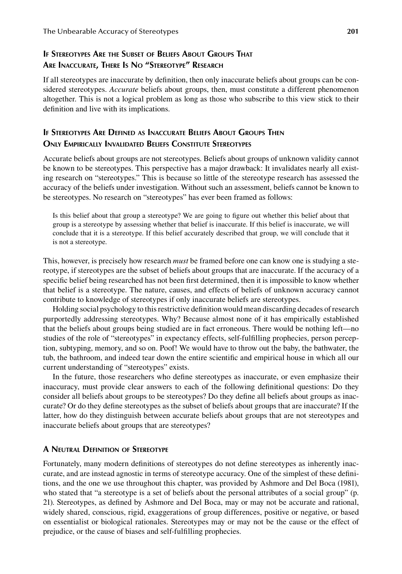# **If Stereotypes Are the Subset of Beliefs About Groups That Are Inaccurate, There Is No "Stereotype" Research**

If all stereotypes are inaccurate by definition, then only inaccurate beliefs about groups can be considered stereotypes. *Accurate* beliefs about groups, then, must constitute a different phenomenon altogether. This is not a logical problem as long as those who subscribe to this view stick to their definition and live with its implications.

# **If Stereotypes Are Defined as Inaccurate Beliefs About Groups Then Only Empirically Invalidated Beliefs Constitute Stereotypes**

Accurate beliefs about groups are not stereotypes. Beliefs about groups of unknown validity cannot be known to be stereotypes. This perspective has a major drawback: It invalidates nearly all existing research on "stereotypes." This is because so little of the stereotype research has assessed the accuracy of the beliefs under investigation. Without such an assessment, beliefs cannot be known to be stereotypes. No research on "stereotypes" has ever been framed as follows:

Is this belief about that group a stereotype? We are going to figure out whether this belief about that group is a stereotype by assessing whether that belief is inaccurate. If this belief is inaccurate, we will conclude that it is a stereotype. If this belief accurately described that group, we will conclude that it is not a stereotype.

This, however, is precisely how research *must* be framed before one can know one is studying a stereotype, if stereotypes are the subset of beliefs about groups that are inaccurate. If the accuracy of a specific belief being researched has not been first determined, then it is impossible to know whether that belief is a stereotype. The nature, causes, and effects of beliefs of unknown accuracy cannot contribute to knowledge of stereotypes if only inaccurate beliefs are stereotypes.

Holding social psychology to this restrictive definition would mean discarding decades of research purportedly addressing stereotypes. Why? Because almost none of it has empirically established that the beliefs about groups being studied are in fact erroneous. There would be nothing left—no studies of the role of "stereotypes" in expectancy effects, self-fulfilling prophecies, person perception, subtyping, memory, and so on. Poof! We would have to throw out the baby, the bathwater, the tub, the bathroom, and indeed tear down the entire scientific and empirical house in which all our current understanding of "stereotypes" exists.

In the future, those researchers who define stereotypes as inaccurate, or even emphasize their inaccuracy, must provide clear answers to each of the following definitional questions: Do they consider all beliefs about groups to be stereotypes? Do they define all beliefs about groups as inaccurate? Or do they define stereotypes as the subset of beliefs about groups that are inaccurate? If the latter, how do they distinguish between accurate beliefs about groups that are not stereotypes and inaccurate beliefs about groups that are stereotypes?

# **A Neutral Definition of Stereotype**

Fortunately, many modern definitions of stereotypes do not define stereotypes as inherently inaccurate, and are instead agnostic in terms of stereotype accuracy. One of the simplest of these definitions, and the one we use throughout this chapter, was provided by Ashmore and Del Boca (1981), who stated that "a stereotype is a set of beliefs about the personal attributes of a social group" (p. 21). Stereotypes, as defined by Ashmore and Del Boca, may or may not be accurate and rational, widely shared, conscious, rigid, exaggerations of group differences, positive or negative, or based on essentialist or biological rationales. Stereotypes may or may not be the cause or the effect of prejudice, or the cause of biases and self-fulfilling prophecies.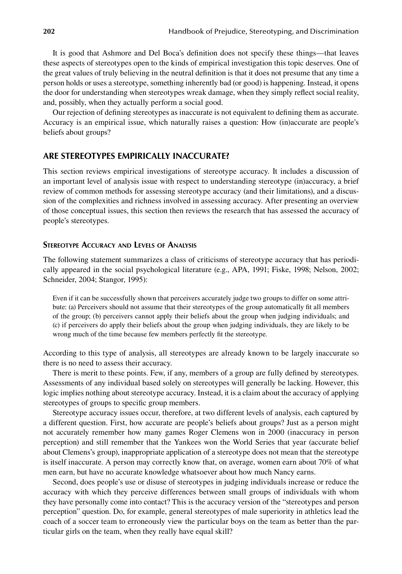It is good that Ashmore and Del Boca's definition does not specify these things—that leaves these aspects of stereotypes open to the kinds of empirical investigation this topic deserves. One of the great values of truly believing in the neutral definition is that it does not presume that any time a person holds or uses a stereotype, something inherently bad (or good) is happening. Instead, it opens the door for understanding when stereotypes wreak damage, when they simply reflect social reality, and, possibly, when they actually perform a social good.

Our rejection of defining stereotypes as inaccurate is not equivalent to defining them as accurate. Accuracy is an empirical issue, which naturally raises a question: How (in)accurate are people's beliefs about groups?

# **Are Stereotypes Empirically Inaccurate?**

This section reviews empirical investigations of stereotype accuracy. It includes a discussion of an important level of analysis issue with respect to understanding stereotype (in)accuracy, a brief review of common methods for assessing stereotype accuracy (and their limitations), and a discussion of the complexities and richness involved in assessing accuracy. After presenting an overview of those conceptual issues, this section then reviews the research that has assessed the accuracy of people's stereotypes.

#### **Stereotype Accuracy and Levels of Analysis**

The following statement summarizes a class of criticisms of stereotype accuracy that has periodically appeared in the social psychological literature (e.g., APA, 1991; Fiske, 1998; Nelson, 2002; Schneider, 2004; Stangor, 1995):

Even if it can be successfully shown that perceivers accurately judge two groups to differ on some attribute: (a) Perceivers should not assume that their stereotypes of the group automatically fit all members of the group; (b) perceivers cannot apply their beliefs about the group when judging individuals; and (c) if perceivers do apply their beliefs about the group when judging individuals, they are likely to be wrong much of the time because few members perfectly fit the stereotype.

According to this type of analysis, all stereotypes are already known to be largely inaccurate so there is no need to assess their accuracy.

There is merit to these points. Few, if any, members of a group are fully defined by stereotypes. Assessments of any individual based solely on stereotypes will generally be lacking. However, this logic implies nothing about stereotype accuracy. Instead, it is a claim about the accuracy of applying stereotypes of groups to specific group members.

Stereotype accuracy issues occur, therefore, at two different levels of analysis, each captured by a different question. First, how accurate are people's beliefs about groups? Just as a person might not accurately remember how many games Roger Clemens won in 2000 (inaccuracy in person perception) and still remember that the Yankees won the World Series that year (accurate belief about Clemens's group), inappropriate application of a stereotype does not mean that the stereotype is itself inaccurate. A person may correctly know that, on average, women earn about 70% of what men earn, but have no accurate knowledge whatsoever about how much Nancy earns.

Second, does people's use or disuse of stereotypes in judging individuals increase or reduce the accuracy with which they perceive differences between small groups of individuals with whom they have personally come into contact? This is the accuracy version of the "stereotypes and person perception" question. Do, for example, general stereotypes of male superiority in athletics lead the coach of a soccer team to erroneously view the particular boys on the team as better than the particular girls on the team, when they really have equal skill?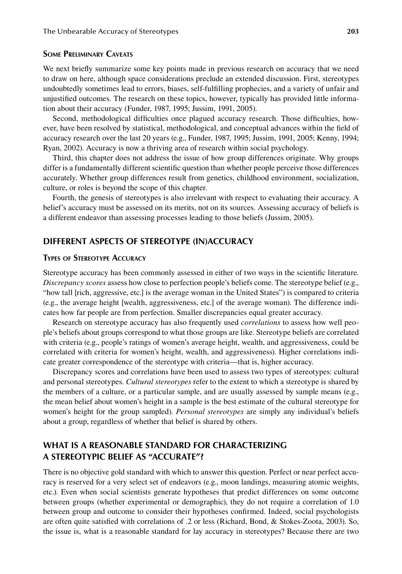# **Some Preliminary Caveats**

We next briefly summarize some key points made in previous research on accuracy that we need to draw on here, although space considerations preclude an extended discussion. First, stereotypes undoubtedly sometimes lead to errors, biases, self-fulfilling prophecies, and a variety of unfair and unjustified outcomes. The research on these topics, however, typically has provided little information about their accuracy (Funder, 1987, 1995; Jussim, 1991, 2005).

Second, methodological difficulties once plagued accuracy research. Those difficulties, however, have been resolved by statistical, methodological, and conceptual advances within the field of accuracy research over the last 20 years (e.g., Funder, 1987, 1995; Jussim, 1991, 2005; Kenny, 1994; Ryan, 2002). Accuracy is now a thriving area of research within social psychology.

Third, this chapter does not address the issue of how group differences originate. Why groups differ is a fundamentally different scientific question than whether people perceive those differences accurately. Whether group differences result from genetics, childhood environment, socialization, culture, or roles is beyond the scope of this chapter.

Fourth, the genesis of stereotypes is also irrelevant with respect to evaluating their accuracy. A belief's accuracy must be assessed on its merits, not on its sources. Assessing accuracy of beliefs is a different endeavor than assessing processes leading to those beliefs (Jussim, 2005).

# **Different Aspects of Stereotype (In)Accuracy**

#### **Types of Stereotype Accuracy**

Stereotype accuracy has been commonly assessed in either of two ways in the scientific literature. *Discrepancy scores* assess how close to perfection people's beliefs come. The stereotype belief (e.g., "how tall [rich, aggressive, etc.] is the average woman in the United States") is compared to criteria (e.g., the average height [wealth, aggressiveness, etc.] of the average woman). The difference indicates how far people are from perfection. Smaller discrepancies equal greater accuracy.

Research on stereotype accuracy has also frequently used *correlations* to assess how well people's beliefs about groups correspond to what those groups are like. Stereotype beliefs are correlated with criteria (e.g., people's ratings of women's average height, wealth, and aggressiveness, could be correlated with criteria for women's height, wealth, and aggressiveness). Higher correlations indicate greater correspondence of the stereotype with criteria—that is, higher accuracy.

Discrepancy scores and correlations have been used to assess two types of stereotypes: cultural and personal stereotypes. *Cultural stereotypes* refer to the extent to which a stereotype is shared by the members of a culture, or a particular sample, and are usually assessed by sample means (e.g., the mean belief about women's height in a sample is the best estimate of the cultural stereotype for women's height for the group sampled). *Personal stereotypes* are simply any individual's beliefs about a group, regardless of whether that belief is shared by others.

# **What is a Reasonable Standard for Characterizing a Stereotypic Belief as "Accurate"?**

There is no objective gold standard with which to answer this question. Perfect or near perfect accuracy is reserved for a very select set of endeavors (e.g., moon landings, measuring atomic weights, etc.). Even when social scientists generate hypotheses that predict differences on some outcome between groups (whether experimental or demographic), they do not require a correlation of 1.0 between group and outcome to consider their hypotheses confirmed. Indeed, social psychologists are often quite satisfied with correlations of .2 or less (Richard, Bond, & Stokes-Zoota, 2003). So, the issue is, what is a reasonable standard for lay accuracy in stereotypes? Because there are two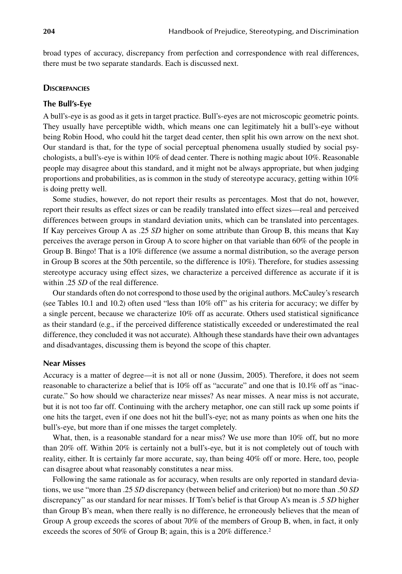broad types of accuracy, discrepancy from perfection and correspondence with real differences, there must be two separate standards. Each is discussed next.

#### **DISCREPANCIES**

#### **The Bull's-Eye**

A bull's-eye is as good as it gets in target practice. Bull's-eyes are not microscopic geometric points. They usually have perceptible width, which means one can legitimately hit a bull's-eye without being Robin Hood, who could hit the target dead center, then split his own arrow on the next shot. Our standard is that, for the type of social perceptual phenomena usually studied by social psychologists, a bull's-eye is within 10% of dead center. There is nothing magic about 10%. Reasonable people may disagree about this standard, and it might not be always appropriate, but when judging proportions and probabilities, as is common in the study of stereotype accuracy, getting within 10% is doing pretty well.

Some studies, however, do not report their results as percentages. Most that do not, however, report their results as effect sizes or can be readily translated into effect sizes—real and perceived differences between groups in standard deviation units, which can be translated into percentages. If Kay perceives Group A as .25 *SD* higher on some attribute than Group B, this means that Kay perceives the average person in Group A to score higher on that variable than 60% of the people in Group B. Bingo! That is a 10% difference (we assume a normal distribution, so the average person in Group B scores at the 50th percentile, so the difference is 10%). Therefore, for studies assessing stereotype accuracy using effect sizes, we characterize a perceived difference as accurate if it is within .25 *SD* of the real difference.

Our standards often do not correspond to those used by the original authors. McCauley's research (see Tables 10.1 and 10.2) often used "less than 10% off" as his criteria for accuracy; we differ by a single percent, because we characterize 10% off as accurate. Others used statistical significance as their standard (e.g., if the perceived difference statistically exceeded or underestimated the real difference, they concluded it was not accurate). Although these standards have their own advantages and disadvantages, discussing them is beyond the scope of this chapter.

#### **Near Misses**

Accuracy is a matter of degree—it is not all or none (Jussim, 2005). Therefore, it does not seem reasonable to characterize a belief that is 10% off as "accurate" and one that is 10.1% off as "inaccurate." So how should we characterize near misses? As near misses. A near miss is not accurate, but it is not too far off. Continuing with the archery metaphor, one can still rack up some points if one hits the target, even if one does not hit the bull's-eye; not as many points as when one hits the bull's-eye, but more than if one misses the target completely.

What, then, is a reasonable standard for a near miss? We use more than 10% off, but no more than 20% off. Within 20% is certainly not a bull's-eye, but it is not completely out of touch with reality, either. It is certainly far more accurate, say, than being 40% off or more. Here, too, people can disagree about what reasonably constitutes a near miss.

Following the same rationale as for accuracy, when results are only reported in standard deviations, we use "more than .25 *SD* discrepancy (between belief and criterion) but no more than .50 *SD* discrepancy" as our standard for near misses. If Tom's belief is that Group A's mean is .5 *SD* higher than Group B's mean, when there really is no difference, he erroneously believes that the mean of Group A group exceeds the scores of about 70% of the members of Group B, when, in fact, it only exceeds the scores of 50% of Group B; again, this is a 20% difference.2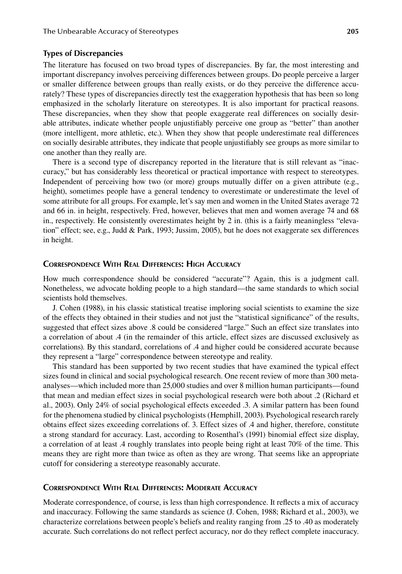### **Types of Discrepancies**

The literature has focused on two broad types of discrepancies. By far, the most interesting and important discrepancy involves perceiving differences between groups. Do people perceive a larger or smaller difference between groups than really exists, or do they perceive the difference accurately? These types of discrepancies directly test the exaggeration hypothesis that has been so long emphasized in the scholarly literature on stereotypes. It is also important for practical reasons. These discrepancies, when they show that people exaggerate real differences on socially desirable attributes, indicate whether people unjustifiably perceive one group as "better" than another (more intelligent, more athletic, etc.). When they show that people underestimate real differences on socially desirable attributes, they indicate that people unjustifiably see groups as more similar to one another than they really are.

There is a second type of discrepancy reported in the literature that is still relevant as "inaccuracy," but has considerably less theoretical or practical importance with respect to stereotypes. Independent of perceiving how two (or more) groups mutually differ on a given attribute (e.g., height), sometimes people have a general tendency to overestimate or underestimate the level of some attribute for all groups. For example, let's say men and women in the United States average 72 and 66 in. in height, respectively. Fred, however, believes that men and women average 74 and 68 in., respectively. He consistently overestimates height by 2 in. (this is a fairly meaningless "elevation" effect; see, e.g., Judd & Park, 1993; Jussim, 2005), but he does not exaggerate sex differences in height.

#### **Correspondence With Real Differences: High Accuracy**

How much correspondence should be considered "accurate"? Again, this is a judgment call. Nonetheless, we advocate holding people to a high standard—the same standards to which social scientists hold themselves.

J. Cohen (1988), in his classic statistical treatise imploring social scientists to examine the size of the effects they obtained in their studies and not just the "statistical significance" of the results, suggested that effect sizes above .8 could be considered "large." Such an effect size translates into a correlation of about .4 (in the remainder of this article, effect sizes are discussed exclusively as correlations). By this standard, correlations of .4 and higher could be considered accurate because they represent a "large" correspondence between stereotype and reality.

This standard has been supported by two recent studies that have examined the typical effect sizes found in clinical and social psychological research. One recent review of more than 300 metaanalyses—which included more than 25,000 studies and over 8 million human participants—found that mean and median effect sizes in social psychological research were both about .2 (Richard et al., 2003). Only 24% of social psychological effects exceeded .3. A similar pattern has been found for the phenomena studied by clinical psychologists (Hemphill, 2003). Psychological research rarely obtains effect sizes exceeding correlations of. 3. Effect sizes of .4 and higher, therefore, constitute a strong standard for accuracy. Last, according to Rosenthal's (1991) binomial effect size display, a correlation of at least .4 roughly translates into people being right at least 70% of the time. This means they are right more than twice as often as they are wrong. That seems like an appropriate cutoff for considering a stereotype reasonably accurate.

## **Correspondence With Real Differences: Moderate Accuracy**

Moderate correspondence, of course, is less than high correspondence. It reflects a mix of accuracy and inaccuracy. Following the same standards as science (J. Cohen, 1988; Richard et al., 2003), we characterize correlations between people's beliefs and reality ranging from .25 to .40 as moderately accurate. Such correlations do not reflect perfect accuracy, nor do they reflect complete inaccuracy.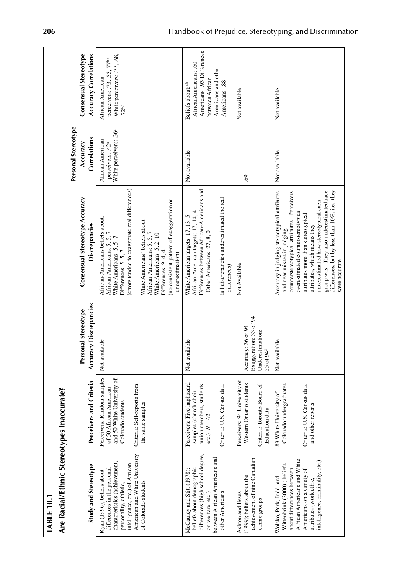| Are Racial/Ethnic Stereotypes Inaccurate?                                                                                                                                                                       |                                                                                                                                                            |                                                                                           |                                                                                                                                                                                                                                                                                                                                                                                                  |                                                                                        |                                                                                                                                                  |
|-----------------------------------------------------------------------------------------------------------------------------------------------------------------------------------------------------------------|------------------------------------------------------------------------------------------------------------------------------------------------------------|-------------------------------------------------------------------------------------------|--------------------------------------------------------------------------------------------------------------------------------------------------------------------------------------------------------------------------------------------------------------------------------------------------------------------------------------------------------------------------------------------------|----------------------------------------------------------------------------------------|--------------------------------------------------------------------------------------------------------------------------------------------------|
|                                                                                                                                                                                                                 |                                                                                                                                                            |                                                                                           |                                                                                                                                                                                                                                                                                                                                                                                                  | Personal Stereotype                                                                    |                                                                                                                                                  |
| Study and Stereotype                                                                                                                                                                                            | Criteria<br>Perceivers and                                                                                                                                 | <b>Accuracy Discrepancies</b><br>Personal Stereotype                                      | Consensual Stereotype Accuracy<br>Discrepancies                                                                                                                                                                                                                                                                                                                                                  | Correlations<br>Accuracy                                                               | Consensual Stereotype<br><b>Accuracy Correlations</b>                                                                                            |
| American and White University<br>characteristics (achievement,<br>intelligence, etc.) of African<br>differences in the personal<br>Ryan (1996); beliefs about<br>of Colorado students<br>personality, athletic, | Perceivers: Random samples<br>and 50 White University of<br>Criteria: Self-reports from<br>of 50 African American<br>Colorado students<br>the same samples | Not available                                                                             | (errors tended to exaggerate real differences)<br>(no consistent pattern of exaggeration or<br>African-Americans beliefs about:<br>White Americans' beliefs about:<br>African-Americans: 5, 5, 7<br>African-Americans: 5, 5, 7<br>White Americans: 5, 2, 10<br>White Americans: 5, 5, 7<br>Differences: 5, 5, 7<br>Differences: 9, 4, 4<br>underestimation)                                      | White perceivers: .36 <sup>a</sup><br>African American<br>perceivers: .42 <sup>a</sup> | White perceivers: .77, .68,<br>perceivers: .73, .53, 77 <sup>b,c</sup><br>African American<br>$.72$ b.c                                          |
| differences (high school degree,<br>between African Americans and<br>beliefs about demographic<br>McCauley and Stitt (1978);<br>other Americans<br>on welfare, etc.)                                            | Perceivers: Five haphazard<br>students,<br>Criteria: U.S. Census data<br>dhoir,<br>samples (church<br>union members,<br>etc.), $N = 62$                    | Not available                                                                             | Differences between African-Americans and<br>(all discrepancies underestimated the real<br>African-American targets: 17, 14, 4<br>White American targets: 17, 13, 5<br>Other Americans: 27, 8, 0<br>differences)                                                                                                                                                                                 | Not available                                                                          | Americans: .93 Differences<br>AfricanAmericans: .60<br>Americans and other<br>between African<br>Americans: .88<br>Beliefs about: <sup>a,b</sup> |
| achievement of nine Canadian<br>(1999); beliefs about the<br>Ashton and Esses<br>ethnic groups                                                                                                                  | Perceivers: 94 University of<br>students<br>Board of<br>Western Ontario<br>Criteria: Toronto<br>Education data                                             | Exaggeration: 33 of 94<br>Accuracy: 36 of 94<br>Underestimation:<br>25 of 94 <sup>d</sup> | Not Available                                                                                                                                                                                                                                                                                                                                                                                    | 69                                                                                     | Not available                                                                                                                                    |
| African Americans and White<br>intelligence, criminality, etc.)<br>Wittenbrink (2000) ; beliefs<br>about differences between<br>Americans on a variety of<br>Wolsko, Park, Judd, and<br>attributes (work ethic, | Colorado undergraduates<br>Criteria: U.S. Census data<br>83 White University of<br>and other reports                                                       | Not available                                                                             | group was. They also underestimated race<br>differences, but by less than $10\%$ , i.e., they<br>Accuracy in judging stereotypical attributes<br>counterstereotypical attributes. Perceivers<br>underestimated how stereotypical each<br>overestimated counterstereotypical<br>attributes more than stereotypical<br>attributes, which means they<br>and near misses in judging<br>were accurate | Not available                                                                          | Not available                                                                                                                                    |

**TA**

**BLE 10.1**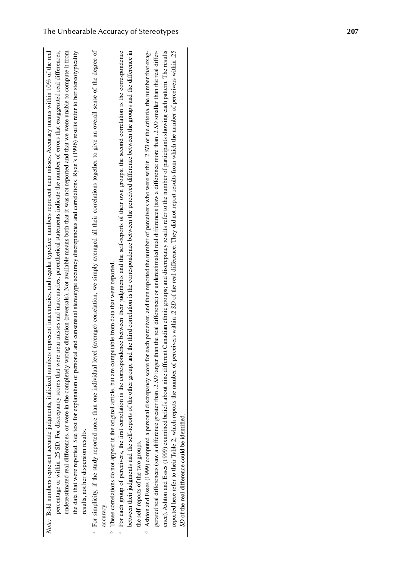| percentage or within .25 SD. For discrepancy scores that were near misses and inaccuracies, parenthetical statements indicate the number of errors that exaggerated real differences,<br>Note: Bold numbers represent accurate judgments, italicized numbers represent inaccuracies, and regular typeface numbers represent near misses. Accuracy means within 10% of the real |
|--------------------------------------------------------------------------------------------------------------------------------------------------------------------------------------------------------------------------------------------------------------------------------------------------------------------------------------------------------------------------------|
| underestimated real differences, or were in the completely wrong direction (reversals). Not available means both that it was not reported and that we were unable to compute it from                                                                                                                                                                                           |
| the data that were reported. See text for explanation of personal and consensual stereotype accuracy discrepancies and correlations. Ryan's (1996) results refer to her stereotypicality                                                                                                                                                                                       |
| results, not her dispersion results.                                                                                                                                                                                                                                                                                                                                           |
| <sup>a</sup> For simplicity, if the study reported more than one individual level (average) correlation, we simply averaged all their correlations together to give an overall sense of the degree of                                                                                                                                                                          |
| accuracy.                                                                                                                                                                                                                                                                                                                                                                      |
| article, but are computable from data that were reported.<br><sup>b</sup> These correlations do not appear in the original                                                                                                                                                                                                                                                     |
| <sup>6</sup> For each group of perceivers, the first correlation is the correspondence between their judgments and the self-reports of their own groups; the second correlation is the correspondence                                                                                                                                                                          |
| between their judgments and the self-reports of the other group; and the third correlation is the correspondence between the perceived difference between the groups and the difference in                                                                                                                                                                                     |
| the self-reports of the two groups.                                                                                                                                                                                                                                                                                                                                            |
| <sup>d</sup> Ashton and Esses (1999) computed a personal discrepancy score for each perceiver, and then reported the number of perceivers who were within .2 SD of the criteria, the number that exag-                                                                                                                                                                         |
| gerated real differences (saw a difference greater than .2 SD larger than the real difference) or underestimated real differences (saw a difference more than .2 SD smaller than the real differ-                                                                                                                                                                              |
| ence). Ashton and Esses (1999) examined beliefs about nine different Canadian ethnic groups; and discrepancy results refer to the number of participants showing each pattern. The results                                                                                                                                                                                     |
| reported here refer to their Table 2, which reports the number of perceivers within .2 SD of the real difference. They did not report results from which the number of perceivers within .25                                                                                                                                                                                   |
| SD of the real difference could be identified.                                                                                                                                                                                                                                                                                                                                 |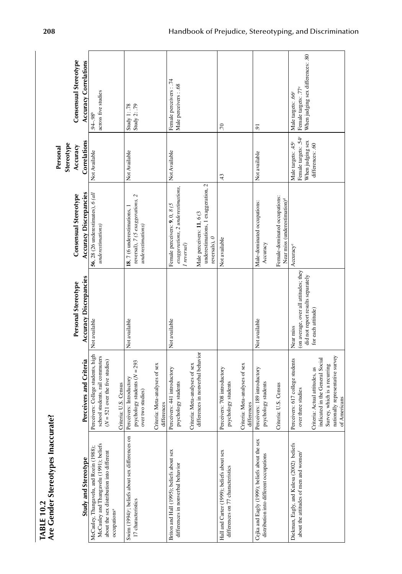| Stereotype<br>Personal | <b>Consensual Stereotype</b><br>Accuracy | Accuracy Correlations<br>Correlations | across five studies<br>$-94 - 98$<br>Not Available                                                                                                          | $\begin{array}{c} \mathrm{Study} \ 1: .78 \\ \mathrm{Study} \ 2: .79 \end{array}$<br>Not Available                                       | Female perceivers: .74<br>Male perceivers: .68<br>Not Available                                                                                                           | $\overline{C}$<br>43                                                                                      | $\overline{5}$<br>Not available                                                                                      | When judging sex differences: .80<br>Female targets: .77°<br>Male targets: .66 <sup>e</sup><br>Female targets: .54 <sup>e</sup><br>When judging sex<br>Male targets: .45°<br>differences: .60      |
|------------------------|------------------------------------------|---------------------------------------|-------------------------------------------------------------------------------------------------------------------------------------------------------------|------------------------------------------------------------------------------------------------------------------------------------------|---------------------------------------------------------------------------------------------------------------------------------------------------------------------------|-----------------------------------------------------------------------------------------------------------|----------------------------------------------------------------------------------------------------------------------|----------------------------------------------------------------------------------------------------------------------------------------------------------------------------------------------------|
|                        | Consensual Stereotype                    | <b>Accuracy Discrepancies</b>         | 56, 28 (26 underestimates), 6 (all<br>underestimations)                                                                                                     | reversal), 7 (5 exaggerations, 2<br>18, 7 (6 underestimations, 1<br>underestimations)                                                    | underestimations, 1 exaggeration, 2<br>exaggerations, 2 underestimations,<br>Female perceivers: 9, 0, 8 (5<br>Male perceivers: 11, 6 (3<br>reversals), $0$<br>I reversal) | Not available                                                                                             | Female-dominated occupations:<br>Near miss (underestimation) <sup>d</sup><br>Male-dominated occupations:<br>Accuracy | Accuracy <sup>e</sup>                                                                                                                                                                              |
|                        | Personal Stereotype                      | Accuracy Discrepancies                | Not available                                                                                                                                               | Not available                                                                                                                            | Not available                                                                                                                                                             |                                                                                                           | Not available                                                                                                        | (on average, over all attitudes; they<br>did not report results separately<br>for each attitude)<br>Near miss                                                                                      |
|                        |                                          | Perceivers and Criteria               | Perceivers: College students, high<br>school students. rail commuters<br>over the five studies)<br>Criteria: U.S. Census<br>$(N = 521)$                     | gy students $(N = 293$<br>Criteria: Meta-analyses of sex<br>Perceivers: Introductory<br>studies)<br>differences<br>psycholo;<br>over two | differences in nonverbal behavior<br>Criteria: Meta-analyses of sex<br>Perceivers: 441 introductory<br>ogy students<br>psycholo,                                          | Criteria: Meta-analyses of sex<br>Perceivers: 708 introductory<br>ogy students<br>differences<br>psycholc | Perceivers: 189 introductory<br>psychology students<br>.S. Census<br>Criteria: L                                     | nationally representative survey<br>indicated in the General Social<br>Perceivers: 617 college students<br>which is a recurring<br>Criteria: Actual attitudes, as<br>over three studies<br>Survey, |
|                        |                                          | <b>Study and Stereotype</b>           | McCauley and Thangavelu (1991); beliefs<br>McCauley, Thangavelu, and Rozin (1988);<br>about the sex distribution into different<br>occupations <sup>a</sup> | Swim (1994) <sup>c</sup> ; beliefs about sex differences on<br>17 characteristics                                                        | Briton and Hall (1995); beliefs about sex<br>differences in nonverbal behavior                                                                                            | Hall and Carter (1999); beliefs about sex<br>differences on 77 characteristics                            | Cejka and Eagly (1999); beliefs about the sex<br>distribution into different occupations                             | Diekman, Eagly, and Kulesa (2002) beliefs<br>about the attitudes of men and women <sup>f</sup>                                                                                                     |

**TA**

**Are** 

**Gender Stereotypes Inaccurate?**

**BLE 10.2**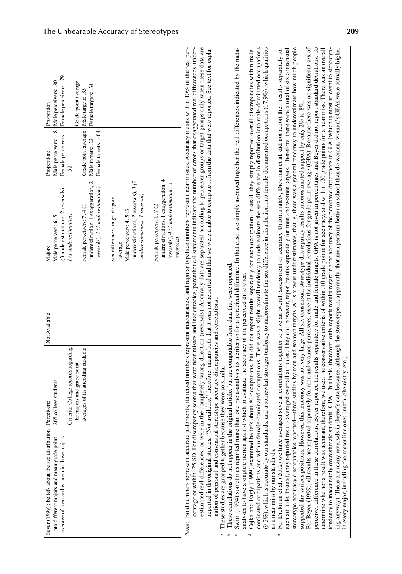| Beyer (1999)'; beliefs about the sex distribution   Perceivers<br>average of men and women in those majors<br>into different majors and mean grade point                                                                                                                                                                                                                                                                                                                                                                                                                                                                                                                                                                                                                                                                                                                                                            | Criteria: College records regarding<br>averages of its attending students<br>the majors and grade point<br>265 college students | Not Available | underestimation, 1 exaggeration, 2<br>underestimations, 1 exaggeration, 4<br>underestimations, 2 reversals), 3 (2<br>reversals), 1 (1 underestimation)<br>reversals), 4 (1 underestimation, 3<br>(3 underestimations, 2 reversals),<br>underestimations, I reversal)<br>Sex differences in grade point<br>Female perceivers: 1, 7 (2<br>Female perceivers: 7, 4 (1<br>Male perceivers: 4, 5 (3<br>1(1 underestimation)<br>Male perceivers: 6, 5<br>average<br>Majors | Male perceivers: .48  Male perceivers: .80<br>Grade point average<br>Female perceivers:<br>Female targets: -.04<br>Male targets: .22<br>Proportion:<br>52 | Female perceivers: .79<br>Grade point average<br>Female targets: .34<br>Male targets: .35<br>Proportion: |
|---------------------------------------------------------------------------------------------------------------------------------------------------------------------------------------------------------------------------------------------------------------------------------------------------------------------------------------------------------------------------------------------------------------------------------------------------------------------------------------------------------------------------------------------------------------------------------------------------------------------------------------------------------------------------------------------------------------------------------------------------------------------------------------------------------------------------------------------------------------------------------------------------------------------|---------------------------------------------------------------------------------------------------------------------------------|---------------|----------------------------------------------------------------------------------------------------------------------------------------------------------------------------------------------------------------------------------------------------------------------------------------------------------------------------------------------------------------------------------------------------------------------------------------------------------------------|-----------------------------------------------------------------------------------------------------------------------------------------------------------|----------------------------------------------------------------------------------------------------------|
| centage or within .25 SD. For discrepancy scores that were near misses and inaccuracies, parenthetical statements indicate the number of errors that exaggerated real differences, under-<br>Note: Bold numbers represent accurate judgments, italicized numbers represent inaccuracies, and regular typeface numbers represent near misses. Accuracy means within 10% of the real per-<br>estimated real differences, or were in the completely wrong direction (reversals). Accuracy data are separated according to perceiver groups or target groups only when these data are<br>reported in the original studies. "Not available," therefore, means both that it was not reported and that we were unable to compute it from the data that were reported. See text for expla-<br><sup>4</sup> These studies are grouned together because they were so similar.<br>nation of personal and consensual stereotype | accuracy discrepancies and correlations.                                                                                        |               | reversals)                                                                                                                                                                                                                                                                                                                                                                                                                                                           |                                                                                                                                                           |                                                                                                          |

- a These studies are grouped together because they were so similar.
- These correlations do not appear in the original article, but are computable from data that were reported. These correlations do not appear in the original article, but are computable from data that were reported.<br>These correlations do not appear in the original article, but are computable from data that were reported. د.<br>د
- Swim (1994) sometimes reported more than one meta-analysis as a criterion for a perceived difference. In that case, we simply averaged together the real differences indicated by the metac Swim (1994) sometimes reported more than one meta-analysis as a criterion for a perceived difference. In that case, we simply averaged together the real differences indicated by the metaanalyses to have a single criterion against which to evaluate the accuracy of the perceived difference. analyses to have a single criterion against which to evaluate the accuracy of the perceived difference.
- dominated occupations and within female-dominated occupations. There was a slight overall tendency to underestimate the sex difference in distribution into male-dominated occupations (9.3%), which is accurate by our standards, and a somewhat stronger tendency to underestimate the sex difference in distribution into female-documented occupations (17.9%), which qualifies Cejka and Eagly (1999) examined beliefs about 80 occupations, but did not report results separately for each occupation. Instead, they simply reported overall discrepancies within maledominated occupations and within female-dominated occupations. There was a slight overall tendency to underestimate the sex difference in distribution into male-dominated occupations (9.3%), which is accurate by our standards, and a somewhat stronger tendency to underestimate the sex difference in distribution into female-documented occupations (17.9%), which qualifies d Cejka and Eagly (1999) examined beliefs about 80 occupations, but did not report results separately for each occupation. Instead, they simply reported overall discrepancies within maleas a near miss by our standards. as a near miss by our standards.
	- e For Diekman et al. (2002) we have averaged several correlations together to give an overall assessment of accuracy. Unfortunately, Diekman et al. did not report their results separately for each attitude. Instead, they reported results averaged over all attitudes. They did, however, report results separately for men and women targets. Therefore, there were a total of six consensual stereotype accuracy discrepancies reported—three studies by men and women targets. All six were underestimates; that is, there was a general tendency to underestimate how much people For Diekman et al. (2002) we have averaged several correlations together to give an overall assessment of accuracy. Unfortunately, Diekman et al. did not report their results separately for each attitude. Instead, they reported results averaged over all attitudes. They did, however, report results separately for men and women targets. Therefore, there were a total of six consensual stereotype accuracy discrepancies reported—three studies by men and women targets. All six were underestimates; that is, there was a general tendency to underestimate how much people supported the various positions. However, this tendency was not very large. All six consensual stereotype discrepancy results underestimated support by only 2% to 8%. supported the various positions. However, this tendency was not very large. All six consensual stereotype discrepancy results underestimated support by only 2% to 8%.  $\ddot{\circ}$
- f For Beyer (1999), all results are reported separately for men and women perceivers, except the individual correlations for grade point average (GPA). Because there was no significant sex of perceiver difference in these correlations, Beyer reported the results separately for male and female targets. GPA is not given in percentages and Beyer did not report standard deviations. To determine whether a result was accurate, therefore, we used the conservative criteria of within .10 grade points for a near points for a near miss. There was an overall ing anyway). There are many reversals in Beyer's data because, although the stereotype is, apparently, that men perform better in school than do women, women's GPAs were actually higher For Beyer (1999), all results are reported separately for men and women perceivers, except the individual correlations for grade point average (GPA). Because there was no significant sex of perceiver difference in these correlations, Beyer reported the results separately for male and female targets. GPA is not given in percentages and Beyer did not report standard deviations. To tendency to inaccurately overestimate students' GPA. This table, therefore, only reports results regarding the accuracy of the perceived differences in GPA (which is most relevant to stereotyping anyway). There are many reversals in Beyer's data because, although the stereotype is, apparently, that men perform better in school than do women, women's GPAs were actually higher determine whether a result was accurate, therefore, we used the conservative criteria of within .10 grade points for accuracy, and within .20 grade points for a near miss. There was an overall tendency to inaccurately overestimate students' GPA. This table, therefore, only reports results regarding the accuracy of the perceived differences in GPA (which is most relevant to stereotypin every major, including the masculine ones (math, chemistry, etc.). in every major, including the masculine ones (math, chemistry, etc.).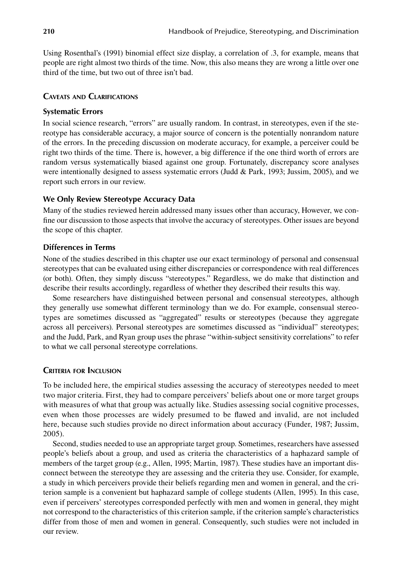Using Rosenthal's (1991) binomial effect size display, a correlation of .3, for example, means that people are right almost two thirds of the time. Now, this also means they are wrong a little over one third of the time, but two out of three isn't bad.

# **Caveats and Clarifications**

# **Systematic Errors**

In social science research, "errors" are usually random. In contrast, in stereotypes, even if the stereotype has considerable accuracy, a major source of concern is the potentially nonrandom nature of the errors. In the preceding discussion on moderate accuracy, for example, a perceiver could be right two thirds of the time. There is, however, a big difference if the one third worth of errors are random versus systematically biased against one group. Fortunately, discrepancy score analyses were intentionally designed to assess systematic errors (Judd & Park, 1993; Jussim, 2005), and we report such errors in our review.

# **We Only Review Stereotype Accuracy Data**

Many of the studies reviewed herein addressed many issues other than accuracy, However, we confine our discussion to those aspects that involve the accuracy of stereotypes. Other issues are beyond the scope of this chapter.

# **Differences in Terms**

None of the studies described in this chapter use our exact terminology of personal and consensual stereotypes that can be evaluated using either discrepancies or correspondence with real differences (or both). Often, they simply discuss "stereotypes." Regardless, we do make that distinction and describe their results accordingly, regardless of whether they described their results this way.

Some researchers have distinguished between personal and consensual stereotypes, although they generally use somewhat different terminology than we do. For example, consensual stereotypes are sometimes discussed as "aggregated" results or stereotypes (because they aggregate across all perceivers). Personal stereotypes are sometimes discussed as "individual" stereotypes; and the Judd, Park, and Ryan group uses the phrase "within-subject sensitivity correlations" to refer to what we call personal stereotype correlations.

# **Criteria for Inclusion**

To be included here, the empirical studies assessing the accuracy of stereotypes needed to meet two major criteria. First, they had to compare perceivers' beliefs about one or more target groups with measures of what that group was actually like. Studies assessing social cognitive processes, even when those processes are widely presumed to be flawed and invalid, are not included here, because such studies provide no direct information about accuracy (Funder, 1987; Jussim, 2005).

Second, studies needed to use an appropriate target group. Sometimes, researchers have assessed people's beliefs about a group, and used as criteria the characteristics of a haphazard sample of members of the target group (e.g., Allen, 1995; Martin, 1987). These studies have an important disconnect between the stereotype they are assessing and the criteria they use. Consider, for example, a study in which perceivers provide their beliefs regarding men and women in general, and the criterion sample is a convenient but haphazard sample of college students (Allen, 1995). In this case, even if perceivers' stereotypes corresponded perfectly with men and women in general, they might not correspond to the characteristics of this criterion sample, if the criterion sample's characteristics differ from those of men and women in general. Consequently, such studies were not included in our review.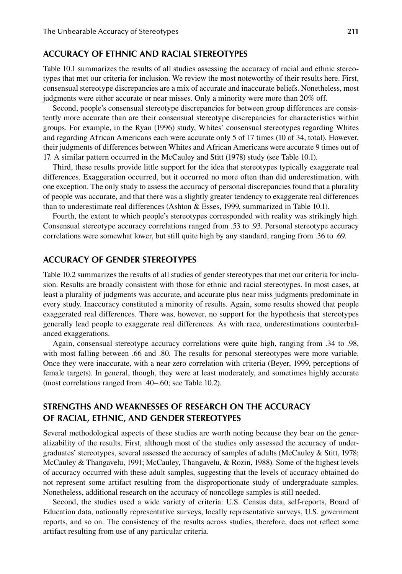# **Accuracy of Ethnic and Racial Stereotypes**

Table 10.1 summarizes the results of all studies assessing the accuracy of racial and ethnic stereotypes that met our criteria for inclusion. We review the most noteworthy of their results here. First, consensual stereotype discrepancies are a mix of accurate and inaccurate beliefs. Nonetheless, most judgments were either accurate or near misses. Only a minority were more than 20% off.

Second, people's consensual stereotype discrepancies for between group differences are consistently more accurate than are their consensual stereotype discrepancies for characteristics within groups. For example, in the Ryan (1996) study, Whites' consensual stereotypes regarding Whites and regarding African Americans each were accurate only 5 of 17 times (10 of 34, total). However, their judgments of differences between Whites and African Americans were accurate 9 times out of 17. A similar pattern occurred in the McCauley and Stitt (1978) study (see Table 10.1).

Third, these results provide little support for the idea that stereotypes typically exaggerate real differences. Exaggeration occurred, but it occurred no more often than did underestimation, with one exception. The only study to assess the accuracy of personal discrepancies found that a plurality of people was accurate, and that there was a slightly greater tendency to exaggerate real differences than to underestimate real differences (Ashton & Esses, 1999, summarized in Table 10.1).

Fourth, the extent to which people's stereotypes corresponded with reality was strikingly high. Consensual stereotype accuracy correlations ranged from .53 to .93. Personal stereotype accuracy correlations were somewhat lower, but still quite high by any standard, ranging from .36 to .69.

# **Accuracy of Gender Stereotypes**

Table 10.2 summarizes the results of all studies of gender stereotypes that met our criteria for inclusion. Results are broadly consistent with those for ethnic and racial stereotypes. In most cases, at least a plurality of judgments was accurate, and accurate plus near miss judgments predominate in every study. Inaccuracy constituted a minority of results. Again, some results showed that people exaggerated real differences. There was, however, no support for the hypothesis that stereotypes generally lead people to exaggerate real differences. As with race, underestimations counterbalanced exaggerations.

Again, consensual stereotype accuracy correlations were quite high, ranging from .34 to .98, with most falling between .66 and .80. The results for personal stereotypes were more variable. Once they were inaccurate, with a near-zero correlation with criteria (Beyer, 1999, perceptions of female targets). In general, though, they were at least moderately, and sometimes highly accurate (most correlations ranged from .40–.60; see Table 10.2).

# **Strengths and Weaknesses of Research on the Accuracy of Racial, Ethnic, and Gender Stereotypes**

Several methodological aspects of these studies are worth noting because they bear on the generalizability of the results. First, although most of the studies only assessed the accuracy of undergraduates' stereotypes, several assessed the accuracy of samples of adults (McCauley & Stitt, 1978; McCauley & Thangavelu, 1991; McCauley, Thangavelu, & Rozin, 1988). Some of the highest levels of accuracy occurred with these adult samples, suggesting that the levels of accuracy obtained do not represent some artifact resulting from the disproportionate study of undergraduate samples. Nonetheless, additional research on the accuracy of noncollege samples is still needed.

Second, the studies used a wide variety of criteria: U.S. Census data, self-reports, Board of Education data, nationally representative surveys, locally representative surveys, U.S. government reports, and so on. The consistency of the results across studies, therefore, does not reflect some artifact resulting from use of any particular criteria.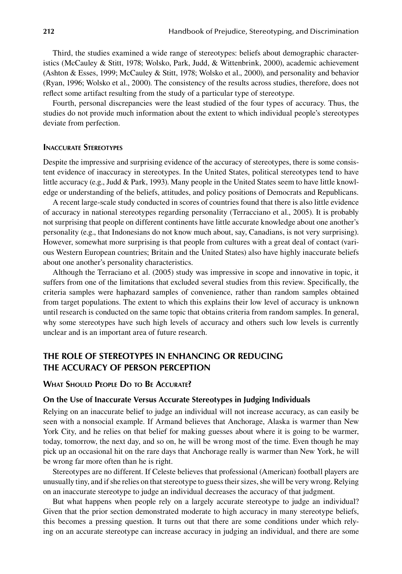Third, the studies examined a wide range of stereotypes: beliefs about demographic characteristics (McCauley & Stitt, 1978; Wolsko, Park, Judd, & Wittenbrink, 2000), academic achievement (Ashton & Esses, 1999; McCauley & Stitt, 1978; Wolsko et al., 2000), and personality and behavior (Ryan, 1996; Wolsko et al., 2000). The consistency of the results across studies, therefore, does not reflect some artifact resulting from the study of a particular type of stereotype.

Fourth, personal discrepancies were the least studied of the four types of accuracy. Thus, the studies do not provide much information about the extent to which individual people's stereotypes deviate from perfection.

#### **Inaccurate Stereotypes**

Despite the impressive and surprising evidence of the accuracy of stereotypes, there is some consistent evidence of inaccuracy in stereotypes. In the United States, political stereotypes tend to have little accuracy (e.g., Judd & Park, 1993). Many people in the United States seem to have little knowledge or understanding of the beliefs, attitudes, and policy positions of Democrats and Republicans.

A recent large-scale study conducted in scores of countries found that there is also little evidence of accuracy in national stereotypes regarding personality (Terracciano et al., 2005). It is probably not surprising that people on different continents have little accurate knowledge about one another's personality (e.g., that Indonesians do not know much about, say, Canadians, is not very surprising). However, somewhat more surprising is that people from cultures with a great deal of contact (various Western European countries; Britain and the United States) also have highly inaccurate beliefs about one another's personality characteristics.

Although the Terraciano et al. (2005) study was impressive in scope and innovative in topic, it suffers from one of the limitations that excluded several studies from this review. Specifically, the criteria samples were haphazard samples of convenience, rather than random samples obtained from target populations. The extent to which this explains their low level of accuracy is unknown until research is conducted on the same topic that obtains criteria from random samples. In general, why some stereotypes have such high levels of accuracy and others such low levels is currently unclear and is an important area of future research.

# **The Role of Stereotypes in Enhancing or Reducing the Accuracy of Person Perception**

#### **What Should People Do to Be Accurate?**

#### **On the Use of Inaccurate Versus Accurate Stereotypes in Judging Individuals**

Relying on an inaccurate belief to judge an individual will not increase accuracy, as can easily be seen with a nonsocial example. If Armand believes that Anchorage, Alaska is warmer than New York City, and he relies on that belief for making guesses about where it is going to be warmer, today, tomorrow, the next day, and so on, he will be wrong most of the time. Even though he may pick up an occasional hit on the rare days that Anchorage really is warmer than New York, he will be wrong far more often than he is right.

Stereotypes are no different. If Celeste believes that professional (American) football players are unusually tiny, and if she relies on that stereotype to guess their sizes, she will be very wrong. Relying on an inaccurate stereotype to judge an individual decreases the accuracy of that judgment.

But what happens when people rely on a largely accurate stereotype to judge an individual? Given that the prior section demonstrated moderate to high accuracy in many stereotype beliefs, this becomes a pressing question. It turns out that there are some conditions under which relying on an accurate stereotype can increase accuracy in judging an individual, and there are some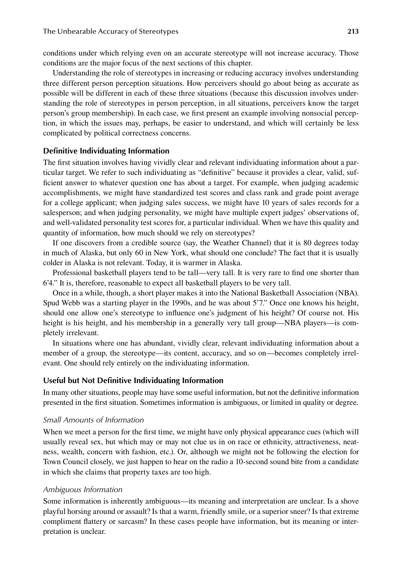conditions under which relying even on an accurate stereotype will not increase accuracy. Those conditions are the major focus of the next sections of this chapter.

Understanding the role of stereotypes in increasing or reducing accuracy involves understanding three different person perception situations. How perceivers should go about being as accurate as possible will be different in each of these three situations (because this discussion involves understanding the role of stereotypes in person perception, in all situations, perceivers know the target person's group membership). In each case, we first present an example involving nonsocial perception, in which the issues may, perhaps, be easier to understand, and which will certainly be less complicated by political correctness concerns.

#### **Definitive Individuating Information**

The first situation involves having vividly clear and relevant individuating information about a particular target. We refer to such individuating as "definitive" because it provides a clear, valid, sufficient answer to whatever question one has about a target. For example, when judging academic accomplishments, we might have standardized test scores and class rank and grade point average for a college applicant; when judging sales success, we might have 10 years of sales records for a salesperson; and when judging personality, we might have multiple expert judges' observations of, and well-validated personality test scores for, a particular individual. When we have this quality and quantity of information, how much should we rely on stereotypes?

If one discovers from a credible source (say, the Weather Channel) that it is 80 degrees today in much of Alaska, but only 60 in New York, what should one conclude? The fact that it is usually colder in Alaska is not relevant. Today, it is warmer in Alaska.

Professional basketball players tend to be tall—very tall. It is very rare to find one shorter than 6'4." It is, therefore, reasonable to expect all basketball players to be very tall.

Once in a while, though, a short player makes it into the National Basketball Association (NBA). Spud Webb was a starting player in the 1990s, and he was about 5'7." Once one knows his height, should one allow one's stereotype to influence one's judgment of his height? Of course not. His height is his height, and his membership in a generally very tall group—NBA players—is completely irrelevant.

In situations where one has abundant, vividly clear, relevant individuating information about a member of a group, the stereotype—its content, accuracy, and so on—becomes completely irrelevant. One should rely entirely on the individuating information.

#### **Useful but Not Definitive Individuating Information**

In many other situations, people may have some useful information, but not the definitive information presented in the first situation. Sometimes information is ambiguous, or limited in quality or degree.

## *Small Amounts of Information*

When we meet a person for the first time, we might have only physical appearance cues (which will usually reveal sex, but which may or may not clue us in on race or ethnicity, attractiveness, neatness, wealth, concern with fashion, etc.). Or, although we might not be following the election for Town Council closely, we just happen to hear on the radio a 10-second sound bite from a candidate in which she claims that property taxes are too high.

#### *Ambiguous Information*

Some information is inherently ambiguous—its meaning and interpretation are unclear. Is a shove playful horsing around or assault? Is that a warm, friendly smile, or a superior sneer? Is that extreme compliment flattery or sarcasm? In these cases people have information, but its meaning or interpretation is unclear.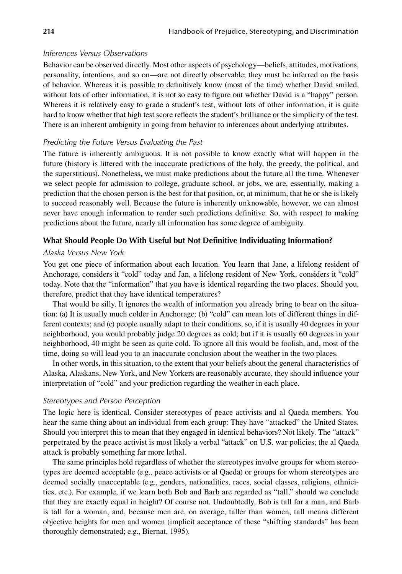#### *Inferences Versus Observations*

Behavior can be observed directly. Most other aspects of psychology—beliefs, attitudes, motivations, personality, intentions, and so on—are not directly observable; they must be inferred on the basis of behavior. Whereas it is possible to definitively know (most of the time) whether David smiled, without lots of other information, it is not so easy to figure out whether David is a "happy" person. Whereas it is relatively easy to grade a student's test, without lots of other information, it is quite hard to know whether that high test score reflects the student's brilliance or the simplicity of the test. There is an inherent ambiguity in going from behavior to inferences about underlying attributes.

## *Predicting the Future Versus Evaluating the Past*

The future is inherently ambiguous. It is not possible to know exactly what will happen in the future (history is littered with the inaccurate predictions of the holy, the greedy, the political, and the superstitious). Nonetheless, we must make predictions about the future all the time. Whenever we select people for admission to college, graduate school, or jobs, we are, essentially, making a prediction that the chosen person is the best for that position, or, at minimum, that he or she is likely to succeed reasonably well. Because the future is inherently unknowable, however, we can almost never have enough information to render such predictions definitive. So, with respect to making predictions about the future, nearly all information has some degree of ambiguity.

# **What Should People Do With Useful but Not Definitive Individuating Information?**

### *Alaska Versus New York*

You get one piece of information about each location. You learn that Jane, a lifelong resident of Anchorage, considers it "cold" today and Jan, a lifelong resident of New York, considers it "cold" today. Note that the "information" that you have is identical regarding the two places. Should you, therefore, predict that they have identical temperatures?

That would be silly. It ignores the wealth of information you already bring to bear on the situation: (a) It is usually much colder in Anchorage; (b) "cold" can mean lots of different things in different contexts; and (c) people usually adapt to their conditions, so, if it is usually 40 degrees in your neighborhood, you would probably judge 20 degrees as cold; but if it is usually 60 degrees in your neighborhood, 40 might be seen as quite cold. To ignore all this would be foolish, and, most of the time, doing so will lead you to an inaccurate conclusion about the weather in the two places.

In other words, in this situation, to the extent that your beliefs about the general characteristics of Alaska, Alaskans, New York, and New Yorkers are reasonably accurate, they should influence your interpretation of "cold" and your prediction regarding the weather in each place.

### *Stereotypes and Person Perception*

The logic here is identical. Consider stereotypes of peace activists and al Qaeda members. You hear the same thing about an individual from each group: They have "attacked" the United States. Should you interpret this to mean that they engaged in identical behaviors? Not likely. The "attack" perpetrated by the peace activist is most likely a verbal "attack" on U.S. war policies; the al Qaeda attack is probably something far more lethal.

The same principles hold regardless of whether the stereotypes involve groups for whom stereotypes are deemed acceptable (e.g., peace activists or al Qaeda) or groups for whom stereotypes are deemed socially unacceptable (e.g., genders, nationalities, races, social classes, religions, ethnicities, etc.). For example, if we learn both Bob and Barb are regarded as "tall," should we conclude that they are exactly equal in height? Of course not. Undoubtedly, Bob is tall for a man, and Barb is tall for a woman, and, because men are, on average, taller than women, tall means different objective heights for men and women (implicit acceptance of these "shifting standards" has been thoroughly demonstrated; e.g., Biernat, 1995).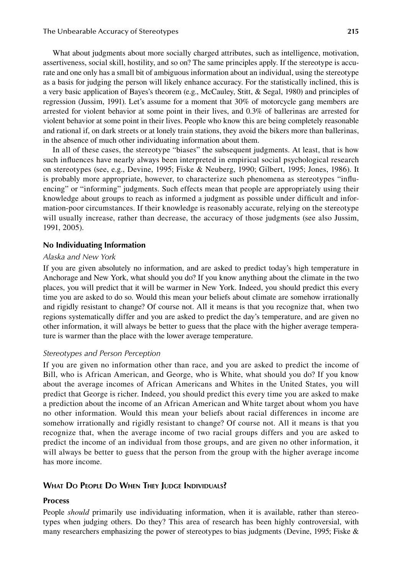What about judgments about more socially charged attributes, such as intelligence, motivation, assertiveness, social skill, hostility, and so on? The same principles apply. If the stereotype is accurate and one only has a small bit of ambiguous information about an individual, using the stereotype as a basis for judging the person will likely enhance accuracy. For the statistically inclined, this is a very basic application of Bayes's theorem (e.g., McCauley, Stitt, & Segal, 1980) and principles of regression (Jussim, 1991). Let's assume for a moment that 30% of motorcycle gang members are arrested for violent behavior at some point in their lives, and 0.3% of ballerinas are arrested for violent behavior at some point in their lives. People who know this are being completely reasonable and rational if, on dark streets or at lonely train stations, they avoid the bikers more than ballerinas, in the absence of much other individuating information about them.

In all of these cases, the stereotype "biases" the subsequent judgments. At least, that is how such influences have nearly always been interpreted in empirical social psychological research on stereotypes (see, e.g., Devine, 1995; Fiske & Neuberg, 1990; Gilbert, 1995; Jones, 1986). It is probably more appropriate, however, to characterize such phenomena as stereotypes "influencing" or "informing" judgments. Such effects mean that people are appropriately using their knowledge about groups to reach as informed a judgment as possible under difficult and information-poor circumstances. If their knowledge is reasonably accurate, relying on the stereotype will usually increase, rather than decrease, the accuracy of those judgments (see also Jussim, 1991, 2005).

#### **No Individuating Information**

#### *Alaska and New York*

If you are given absolutely no information, and are asked to predict today's high temperature in Anchorage and New York, what should you do? If you know anything about the climate in the two places, you will predict that it will be warmer in New York. Indeed, you should predict this every time you are asked to do so. Would this mean your beliefs about climate are somehow irrationally and rigidly resistant to change? Of course not. All it means is that you recognize that, when two regions systematically differ and you are asked to predict the day's temperature, and are given no other information, it will always be better to guess that the place with the higher average temperature is warmer than the place with the lower average temperature.

#### *Stereotypes and Person Perception*

If you are given no information other than race, and you are asked to predict the income of Bill, who is African American, and George, who is White, what should you do? If you know about the average incomes of African Americans and Whites in the United States, you will predict that George is richer. Indeed, you should predict this every time you are asked to make a prediction about the income of an African American and White target about whom you have no other information. Would this mean your beliefs about racial differences in income are somehow irrationally and rigidly resistant to change? Of course not. All it means is that you recognize that, when the average income of two racial groups differs and you are asked to predict the income of an individual from those groups, and are given no other information, it will always be better to guess that the person from the group with the higher average income has more income.

## **What Do People Do When They Judge Individuals?**

#### **Process**

People *should* primarily use individuating information, when it is available, rather than stereotypes when judging others. Do they? This area of research has been highly controversial, with many researchers emphasizing the power of stereotypes to bias judgments (Devine, 1995; Fiske  $\&$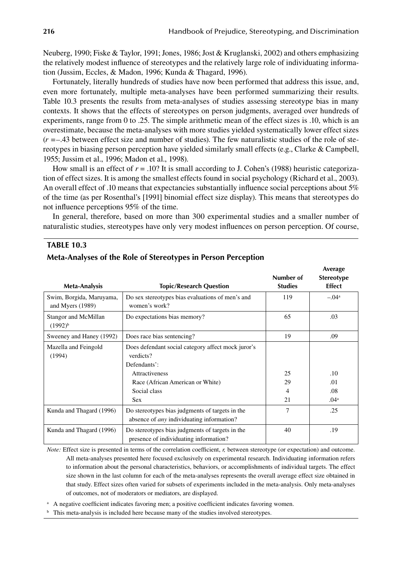Neuberg, 1990; Fiske & Taylor, 1991; Jones, 1986; Jost & Kruglanski, 2002) and others emphasizing the relatively modest influence of stereotypes and the relatively large role of individuating information (Jussim, Eccles, & Madon, 1996; Kunda & Thagard, 1996).

Fortunately, literally hundreds of studies have now been performed that address this issue, and, even more fortunately, multiple meta-analyses have been performed summarizing their results. Table 10.3 presents the results from meta-analyses of studies assessing stereotype bias in many contexts. It shows that the effects of stereotypes on person judgments, averaged over hundreds of experiments, range from 0 to .25. The simple arithmetic mean of the effect sizes is .10, which is an overestimate, because the meta-analyses with more studies yielded systematically lower effect sizes (*r =–*.43 between effect size and number of studies). The few naturalistic studies of the role of stereotypes in biasing person perception have yielded similarly small effects (e.g., Clarke & Campbell, 1955; Jussim et al., 1996; Madon et al., 1998).

How small is an effect of  $r = .10$ ? It is small according to J. Cohen's (1988) heuristic categorization of effect sizes. It is among the smallest effects found in social psychology (Richard et al., 2003). An overall effect of .10 means that expectancies substantially influence social perceptions about 5% of the time (as per Rosenthal's [1991] binomial effect size display). This means that stereotypes do not influence perceptions 95% of the time.

In general, therefore, based on more than 300 experimental studies and a smaller number of naturalistic studies, stereotypes have only very modest influences on person perception. Of course,

#### **TABLE 10.3**

|                                              |                                                                                                     |                          | Average           |
|----------------------------------------------|-----------------------------------------------------------------------------------------------------|--------------------------|-------------------|
|                                              |                                                                                                     | Number of                | <b>Stereotype</b> |
| Meta-Analysis                                | <b>Topic/Research Question</b>                                                                      | <b>Studies</b>           | Effect            |
| Swim, Borgida, Maruyama,<br>and Myers (1989) | Do sex stereotypes bias evaluations of men's and<br>women's work?                                   | 119                      | $-.04a$           |
| Stangor and McMillan<br>$(1992)^{b}$         | Do expectations bias memory?                                                                        | 65                       | .03               |
| Sweeney and Haney (1992)                     | Does race bias sentencing?                                                                          | 19                       | .09               |
| Mazella and Feingold<br>(1994)               | Does defendant social category affect mock juror's<br>verdicts?<br>Defendants':                     |                          |                   |
|                                              | <b>Attractiveness</b>                                                                               | 25                       | .10               |
|                                              | Race (African American or White)                                                                    | 29                       | .01               |
|                                              | Social class                                                                                        | $\overline{\mathcal{A}}$ | .08               |
|                                              | <b>Sex</b>                                                                                          | 21                       | .04 <sup>a</sup>  |
| Kunda and Thagard (1996)                     | Do stereotypes bias judgments of targets in the<br>absence of <i>any</i> individuating information? | 7                        | .25               |
| Kunda and Thagard (1996)                     | Do stereotypes bias judgments of targets in the<br>presence of individuating information?           | 40                       | .19               |

#### **Meta-Analyses of the Role of Stereotypes in Person Perception**

*Note:* Effect size is presented in terms of the correlation coefficient, *r*, between stereotype (or expectation) and outcome. All meta-analyses presented here focused exclusively on experimental research. Individuating information refers to information about the personal characteristics, behaviors, or accomplishments of individual targets. The effect size shown in the last column for each of the meta-analyses represents the overall average effect size obtained in that study. Effect sizes often varied for subsets of experiments included in the meta-analysis. Only meta-analyses of outcomes, not of moderators or mediators, are displayed.

a A negative coefficient indicates favoring men; a positive coefficient indicates favoring women.

<sup>b</sup> This meta-analysis is included here because many of the studies involved stereotypes.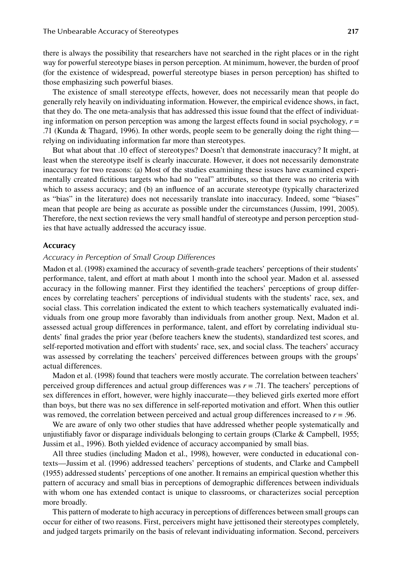there is always the possibility that researchers have not searched in the right places or in the right way for powerful stereotype biases in person perception. At minimum, however, the burden of proof (for the existence of widespread, powerful stereotype biases in person perception) has shifted to those emphasizing such powerful biases.

The existence of small stereotype effects, however, does not necessarily mean that people do generally rely heavily on individuating information. However, the empirical evidence shows, in fact, that they do. The one meta-analysis that has addressed this issue found that the effect of individuating information on person perception was among the largest effects found in social psychology, *r* = .71 (Kunda & Thagard, 1996). In other words, people seem to be generally doing the right thing relying on individuating information far more than stereotypes.

But what about that .10 effect of stereotypes? Doesn't that demonstrate inaccuracy? It might, at least when the stereotype itself is clearly inaccurate. However, it does not necessarily demonstrate inaccuracy for two reasons: (a) Most of the studies examining these issues have examined experimentally created fictitious targets who had no "real" attributes, so that there was no criteria with which to assess accuracy; and (b) an influence of an accurate stereotype (typically characterized as "bias" in the literature) does not necessarily translate into inaccuracy. Indeed, some "biases" mean that people are being as accurate as possible under the circumstances (Jussim, 1991, 2005). Therefore, the next section reviews the very small handful of stereotype and person perception studies that have actually addressed the accuracy issue.

#### **Accuracy**

#### *Accuracy in Perception of Small Group Differences*

Madon et al. (1998) examined the accuracy of seventh-grade teachers' perceptions of their students' performance, talent, and effort at math about 1 month into the school year. Madon et al. assessed accuracy in the following manner. First they identified the teachers' perceptions of group differences by correlating teachers' perceptions of individual students with the students' race, sex, and social class. This correlation indicated the extent to which teachers systematically evaluated individuals from one group more favorably than individuals from another group. Next, Madon et al. assessed actual group differences in performance, talent, and effort by correlating individual students' final grades the prior year (before teachers knew the students), standardized test scores, and self-reported motivation and effort with students' race, sex, and social class. The teachers' accuracy was assessed by correlating the teachers' perceived differences between groups with the groups' actual differences.

Madon et al. (1998) found that teachers were mostly accurate. The correlation between teachers' perceived group differences and actual group differences was *r* = .71. The teachers' perceptions of sex differences in effort, however, were highly inaccurate—they believed girls exerted more effort than boys, but there was no sex difference in self-reported motivation and effort. When this outlier was removed, the correlation between perceived and actual group differences increased to  $r = .96$ .

We are aware of only two other studies that have addressed whether people systematically and unjustifiably favor or disparage individuals belonging to certain groups (Clarke  $\&$  Campbell, 1955; Jussim et al., 1996). Both yielded evidence of accuracy accompanied by small bias.

All three studies (including Madon et al., 1998), however, were conducted in educational contexts—Jussim et al. (1996) addressed teachers' perceptions of students, and Clarke and Campbell (1955) addressed students' perceptions of one another. It remains an empirical question whether this pattern of accuracy and small bias in perceptions of demographic differences between individuals with whom one has extended contact is unique to classrooms, or characterizes social perception more broadly.

This pattern of moderate to high accuracy in perceptions of differences between small groups can occur for either of two reasons. First, perceivers might have jettisoned their stereotypes completely, and judged targets primarily on the basis of relevant individuating information. Second, perceivers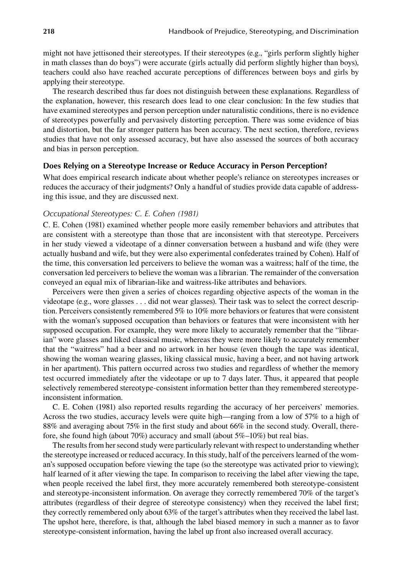might not have jettisoned their stereotypes. If their stereotypes (e.g., "girls perform slightly higher in math classes than do boys") were accurate (girls actually did perform slightly higher than boys), teachers could also have reached accurate perceptions of differences between boys and girls by applying their stereotype.

The research described thus far does not distinguish between these explanations. Regardless of the explanation, however, this research does lead to one clear conclusion: In the few studies that have examined stereotypes and person perception under naturalistic conditions, there is no evidence of stereotypes powerfully and pervasively distorting perception. There was some evidence of bias and distortion, but the far stronger pattern has been accuracy. The next section, therefore, reviews studies that have not only assessed accuracy, but have also assessed the sources of both accuracy and bias in person perception.

## **Does Relying on a Stereotype Increase or Reduce Accuracy in Person Perception?**

What does empirical research indicate about whether people's reliance on stereotypes increases or reduces the accuracy of their judgments? Only a handful of studies provide data capable of addressing this issue, and they are discussed next.

## *Occupational Stereotypes: C. E. Cohen (1981)*

C. E. Cohen (1981) examined whether people more easily remember behaviors and attributes that are consistent with a stereotype than those that are inconsistent with that stereotype. Perceivers in her study viewed a videotape of a dinner conversation between a husband and wife (they were actually husband and wife, but they were also experimental confederates trained by Cohen). Half of the time, this conversation led perceivers to believe the woman was a waitress; half of the time, the conversation led perceivers to believe the woman was a librarian. The remainder of the conversation conveyed an equal mix of librarian-like and waitress-like attributes and behaviors.

Perceivers were then given a series of choices regarding objective aspects of the woman in the videotape (e.g., wore glasses . . . did not wear glasses). Their task was to select the correct description. Perceivers consistently remembered 5% to 10% more behaviors or features that were consistent with the woman's supposed occupation than behaviors or features that were inconsistent with her supposed occupation. For example, they were more likely to accurately remember that the "librarian" wore glasses and liked classical music, whereas they were more likely to accurately remember that the "waitress" had a beer and no artwork in her house (even though the tape was identical, showing the woman wearing glasses, liking classical music, having a beer, and not having artwork in her apartment). This pattern occurred across two studies and regardless of whether the memory test occurred immediately after the videotape or up to 7 days later. Thus, it appeared that people selectively remembered stereotype-consistent information better than they remembered stereotypeinconsistent information.

C. E. Cohen (1981) also reported results regarding the accuracy of her perceivers' memories. Across the two studies, accuracy levels were quite high—ranging from a low of 57% to a high of 88% and averaging about 75% in the first study and about 66% in the second study. Overall, therefore, she found high (about 70%) accuracy and small (about 5%–10%) but real bias.

The results from her second study were particularly relevant with respect to understanding whether the stereotype increased or reduced accuracy. In this study, half of the perceivers learned of the woman's supposed occupation before viewing the tape (so the stereotype was activated prior to viewing); half learned of it after viewing the tape. In comparison to receiving the label after viewing the tape, when people received the label first, they more accurately remembered both stereotype-consistent and stereotype-inconsistent information. On average they correctly remembered 70% of the target's attributes (regardless of their degree of stereotype consistency) when they received the label first; they correctly remembered only about 63% of the target's attributes when they received the label last. The upshot here, therefore, is that, although the label biased memory in such a manner as to favor stereotype-consistent information, having the label up front also increased overall accuracy.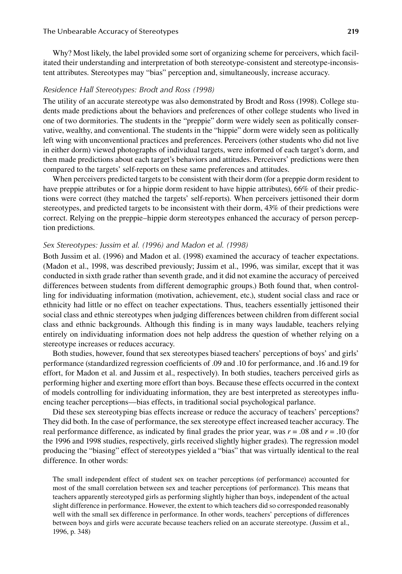Why? Most likely, the label provided some sort of organizing scheme for perceivers, which facilitated their understanding and interpretation of both stereotype-consistent and stereotype-inconsistent attributes. Stereotypes may "bias" perception and, simultaneously, increase accuracy.

#### *Residence Hall Stereotypes: Brodt and Ross (1998)*

The utility of an accurate stereotype was also demonstrated by Brodt and Ross (1998). College students made predictions about the behaviors and preferences of other college students who lived in one of two dormitories. The students in the "preppie" dorm were widely seen as politically conservative, wealthy, and conventional. The students in the "hippie" dorm were widely seen as politically left wing with unconventional practices and preferences. Perceivers (other students who did not live in either dorm) viewed photographs of individual targets, were informed of each target's dorm, and then made predictions about each target's behaviors and attitudes. Perceivers' predictions were then compared to the targets' self-reports on these same preferences and attitudes.

When perceivers predicted targets to be consistent with their dorm (for a preppie dorm resident to have preppie attributes or for a hippie dorm resident to have hippie attributes), 66% of their predictions were correct (they matched the targets' self-reports). When perceivers jettisoned their dorm stereotypes, and predicted targets to be inconsistent with their dorm, 43% of their predictions were correct. Relying on the preppie–hippie dorm stereotypes enhanced the accuracy of person perception predictions.

#### *Sex Stereotypes: Jussim et al. (1996) and Madon et al. (1998)*

Both Jussim et al. (1996) and Madon et al. (1998) examined the accuracy of teacher expectations. (Madon et al., 1998, was described previously; Jussim et al., 1996, was similar, except that it was conducted in sixth grade rather than seventh grade, and it did not examine the accuracy of perceived differences between students from different demographic groups.) Both found that, when controlling for individuating information (motivation, achievement, etc.), student social class and race or ethnicity had little or no effect on teacher expectations. Thus, teachers essentially jettisoned their social class and ethnic stereotypes when judging differences between children from different social class and ethnic backgrounds. Although this finding is in many ways laudable, teachers relying entirely on individuating information does not help address the question of whether relying on a stereotype increases or reduces accuracy.

Both studies, however, found that sex stereotypes biased teachers' perceptions of boys' and girls' performance (standardized regression coefficients of .09 and .10 for performance, and .16 and.19 for effort, for Madon et al. and Jussim et al., respectively). In both studies, teachers perceived girls as performing higher and exerting more effort than boys. Because these effects occurred in the context of models controlling for individuating information, they are best interpreted as stereotypes influencing teacher perceptions—bias effects, in traditional social psychological parlance.

Did these sex stereotyping bias effects increase or reduce the accuracy of teachers' perceptions? They did both. In the case of performance, the sex stereotype effect increased teacher accuracy. The real performance difference, as indicated by final grades the prior year, was *r* = .08 and *r* = .10 (for the 1996 and 1998 studies, respectively, girls received slightly higher grades). The regression model producing the "biasing" effect of stereotypes yielded a "bias" that was virtually identical to the real difference. In other words:

The small independent effect of student sex on teacher perceptions (of performance) accounted for most of the small correlation between sex and teacher perceptions (of performance). This means that teachers apparently stereotyped girls as performing slightly higher than boys, independent of the actual slight difference in performance. However, the extent to which teachers did so corresponded reasonably well with the small sex difference in performance. In other words, teachers' perceptions of differences between boys and girls were accurate because teachers relied on an accurate stereotype. (Jussim et al., 1996, p. 348)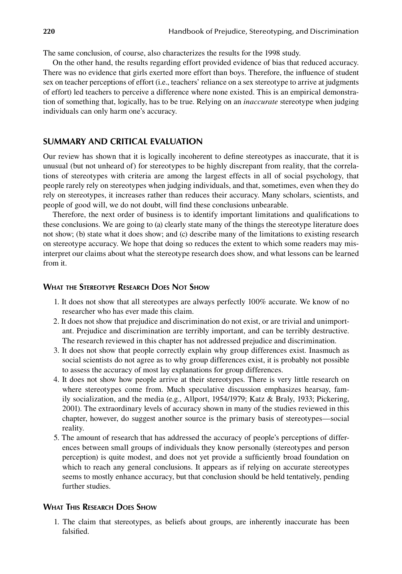The same conclusion, of course, also characterizes the results for the 1998 study.

On the other hand, the results regarding effort provided evidence of bias that reduced accuracy. There was no evidence that girls exerted more effort than boys. Therefore, the influence of student sex on teacher perceptions of effort (i.e., teachers' reliance on a sex stereotype to arrive at judgments of effort) led teachers to perceive a difference where none existed. This is an empirical demonstration of something that, logically, has to be true. Relying on an *inaccurate* stereotype when judging individuals can only harm one's accuracy.

# **Summary and Critical Evaluation**

Our review has shown that it is logically incoherent to define stereotypes as inaccurate, that it is unusual (but not unheard of) for stereotypes to be highly discrepant from reality, that the correlations of stereotypes with criteria are among the largest effects in all of social psychology, that people rarely rely on stereotypes when judging individuals, and that, sometimes, even when they do rely on stereotypes, it increases rather than reduces their accuracy. Many scholars, scientists, and people of good will, we do not doubt, will find these conclusions unbearable.

Therefore, the next order of business is to identify important limitations and qualifications to these conclusions. We are going to (a) clearly state many of the things the stereotype literature does not show; (b) state what it does show; and (c) describe many of the limitations to existing research on stereotype accuracy. We hope that doing so reduces the extent to which some readers may misinterpret our claims about what the stereotype research does show, and what lessons can be learned from it.

#### **What the Stereotype Research Does Not Show**

- 1. It does not show that all stereotypes are always perfectly 100% accurate. We know of no researcher who has ever made this claim.
- 2. It does not show that prejudice and discrimination do not exist, or are trivial and unimportant. Prejudice and discrimination are terribly important, and can be terribly destructive. The research reviewed in this chapter has not addressed prejudice and discrimination.
- 3. It does not show that people correctly explain why group differences exist. Inasmuch as social scientists do not agree as to why group differences exist, it is probably not possible to assess the accuracy of most lay explanations for group differences.
- 4. It does not show how people arrive at their stereotypes. There is very little research on where stereotypes come from. Much speculative discussion emphasizes hearsay, family socialization, and the media (e.g., Allport, 1954/1979; Katz & Braly, 1933; Pickering, 2001). The extraordinary levels of accuracy shown in many of the studies reviewed in this chapter, however, do suggest another source is the primary basis of stereotypes—social reality.
- 5. The amount of research that has addressed the accuracy of people's perceptions of differences between small groups of individuals they know personally (stereotypes and person perception) is quite modest, and does not yet provide a sufficiently broad foundation on which to reach any general conclusions. It appears as if relying on accurate stereotypes seems to mostly enhance accuracy, but that conclusion should be held tentatively, pending further studies.

# **What This Research Does Show**

1. The claim that stereotypes, as beliefs about groups, are inherently inaccurate has been falsified.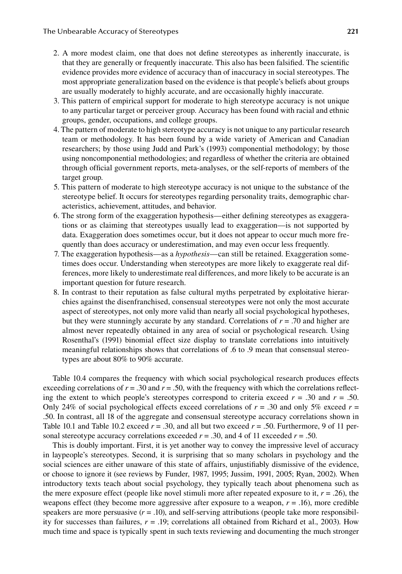- 2. A more modest claim, one that does not define stereotypes as inherently inaccurate, is that they are generally or frequently inaccurate. This also has been falsified. The scientific evidence provides more evidence of accuracy than of inaccuracy in social stereotypes. The most appropriate generalization based on the evidence is that people's beliefs about groups are usually moderately to highly accurate, and are occasionally highly inaccurate.
- 3. This pattern of empirical support for moderate to high stereotype accuracy is not unique to any particular target or perceiver group. Accuracy has been found with racial and ethnic groups, gender, occupations, and college groups.
- 4. The pattern of moderate to high stereotype accuracy is not unique to any particular research team or methodology. It has been found by a wide variety of American and Canadian researchers; by those using Judd and Park's (1993) componential methodology; by those using noncomponential methodologies; and regardless of whether the criteria are obtained through official government reports, meta-analyses, or the self-reports of members of the target group.
- 5. This pattern of moderate to high stereotype accuracy is not unique to the substance of the stereotype belief. It occurs for stereotypes regarding personality traits, demographic characteristics, achievement, attitudes, and behavior.
- 6. The strong form of the exaggeration hypothesis—either defining stereotypes as exaggerations or as claiming that stereotypes usually lead to exaggeration—is not supported by data. Exaggeration does sometimes occur, but it does not appear to occur much more frequently than does accuracy or underestimation, and may even occur less frequently.
- 7. The exaggeration hypothesis—as a *hypothesis*—can still be retained. Exaggeration sometimes does occur. Understanding when stereotypes are more likely to exaggerate real differences, more likely to underestimate real differences, and more likely to be accurate is an important question for future research.
- 8. In contrast to their reputation as false cultural myths perpetrated by exploitative hierarchies against the disenfranchised, consensual stereotypes were not only the most accurate aspect of stereotypes, not only more valid than nearly all social psychological hypotheses, but they were stunningly accurate by any standard. Correlations of *r* = .70 and higher are almost never repeatedly obtained in any area of social or psychological research. Using Rosenthal's (1991) binomial effect size display to translate correlations into intuitively meaningful relationships shows that correlations of .6 to .9 mean that consensual stereotypes are about 80% to 90% accurate.

Table 10.4 compares the frequency with which social psychological research produces effects exceeding correlations of  $r = .30$  and  $r = .50$ , with the frequency with which the correlations reflecting the extent to which people's stereotypes correspond to criteria exceed *r* = .30 and *r* = .50. Only 24% of social psychological effects exceed correlations of *r* = .30 and only 5% exceed *r* = .50. In contrast, all 18 of the aggregate and consensual stereotype accuracy correlations shown in Table 10.1 and Table 10.2 exceed  $r = .30$ , and all but two exceed  $r = .50$ . Furthermore, 9 of 11 personal stereotype accuracy correlations exceeded  $r = .30$ , and 4 of 11 exceeded  $r = .50$ .

This is doubly important. First, it is yet another way to convey the impressive level of accuracy in laypeople's stereotypes. Second, it is surprising that so many scholars in psychology and the social sciences are either unaware of this state of affairs, unjustifiably dismissive of the evidence, or choose to ignore it (see reviews by Funder, 1987, 1995; Jussim, 1991, 2005; Ryan, 2002). When introductory texts teach about social psychology, they typically teach about phenomena such as the mere exposure effect (people like novel stimuli more after repeated exposure to it,  $r = .26$ ), the weapons effect (they become more aggressive after exposure to a weapon, *r* = .16), more credible speakers are more persuasive  $(r = .10)$ , and self-serving attributions (people take more responsibility for successes than failures, *r* = .19; correlations all obtained from Richard et al., 2003). How much time and space is typically spent in such texts reviewing and documenting the much stronger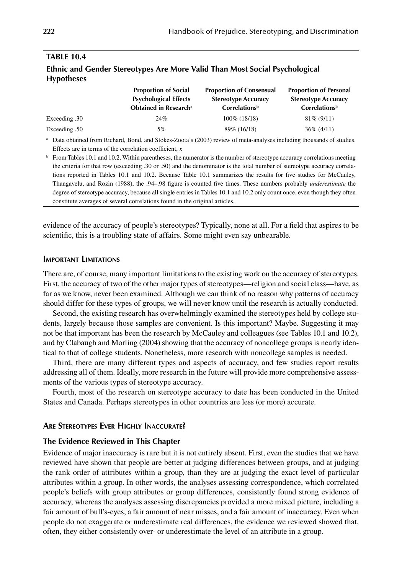|               | <b>Proportion of Social</b><br><b>Psychological Effects</b><br>Obtained in Research <sup>a</sup> | <b>Proportion of Consensual</b><br><b>Stereotype Accuracy</b><br>Correlationsb                                                  | <b>Proportion of Personal</b><br><b>Stereotype Accuracy</b><br>Correlationsb |
|---------------|--------------------------------------------------------------------------------------------------|---------------------------------------------------------------------------------------------------------------------------------|------------------------------------------------------------------------------|
| Exceeding .30 | 24%                                                                                              | 100\% (18/18)                                                                                                                   | $81\% (9/11)$                                                                |
| Exceeding .50 | 5%                                                                                               | 89% (16/18)                                                                                                                     | $36\% (4/11)$                                                                |
|               |                                                                                                  | <sup>3</sup> Data obtained from Pichard, Rond, and Stokes Zoota's (2003) review of meta analyses including thousands of studies |                                                                              |

# **TABLE 10.4 Ethnic and Gender Stereotypes Are More Valid Than Most Social Psychological Hypotheses**

) Data obtained from Richard, Bond, and Stokes-Zoota's (2003) review of meta-analyses including thousands of studies. Effects are in terms of the correlation coefficient, *r.*

<sup>b</sup> From Tables 10.1 and 10.2. Within parentheses, the numerator is the number of stereotype accuracy correlations meeting the criteria for that row (exceeding .30 or .50) and the denominator is the total number of stereotype accuracy correlations reported in Tables 10.1 and 10.2. Because Table 10.1 summarizes the results for five studies for McCauley, Thangavelu, and Rozin (1988), the .94–.98 figure is counted five times. These numbers probably *underestimate* the degree of stereotype accuracy, because all single entries in Tables 10.1 and 10.2 only count once, even though they often constitute averages of several correlations found in the original articles.

evidence of the accuracy of people's stereotypes? Typically, none at all. For a field that aspires to be scientific, this is a troubling state of affairs. Some might even say unbearable.

### **Important Limitations**

There are, of course, many important limitations to the existing work on the accuracy of stereotypes. First, the accuracy of two of the other major types of stereotypes—religion and social class—have, as far as we know, never been examined. Although we can think of no reason why patterns of accuracy should differ for these types of groups, we will never know until the research is actually conducted.

Second, the existing research has overwhelmingly examined the stereotypes held by college students, largely because those samples are convenient. Is this important? Maybe. Suggesting it may not be that important has been the research by McCauley and colleagues (see Tables 10.1 and 10.2), and by Clabaugh and Morling (2004) showing that the accuracy of noncollege groups is nearly identical to that of college students. Nonetheless, more research with noncollege samples is needed.

Third, there are many different types and aspects of accuracy, and few studies report results addressing all of them. Ideally, more research in the future will provide more comprehensive assessments of the various types of stereotype accuracy.

Fourth, most of the research on stereotype accuracy to date has been conducted in the United States and Canada. Perhaps stereotypes in other countries are less (or more) accurate.

# **Are Stereotypes Ever Highly Inaccurate?**

### **The Evidence Reviewed in This Chapter**

Evidence of major inaccuracy is rare but it is not entirely absent. First, even the studies that we have reviewed have shown that people are better at judging differences between groups, and at judging the rank order of attributes within a group, than they are at judging the exact level of particular attributes within a group. In other words, the analyses assessing correspondence, which correlated people's beliefs with group attributes or group differences, consistently found strong evidence of accuracy, whereas the analyses assessing discrepancies provided a more mixed picture, including a fair amount of bull's-eyes, a fair amount of near misses, and a fair amount of inaccuracy. Even when people do not exaggerate or underestimate real differences, the evidence we reviewed showed that, often, they either consistently over- or underestimate the level of an attribute in a group.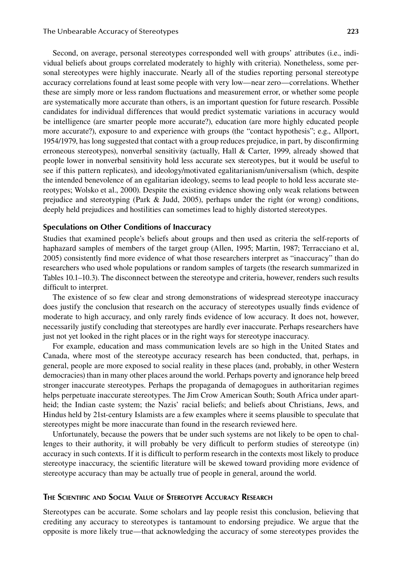Second, on average, personal stereotypes corresponded well with groups' attributes (i.e., individual beliefs about groups correlated moderately to highly with criteria). Nonetheless, some personal stereotypes were highly inaccurate. Nearly all of the studies reporting personal stereotype accuracy correlations found at least some people with very low—near zero—correlations. Whether these are simply more or less random fluctuations and measurement error, or whether some people are systematically more accurate than others, is an important question for future research. Possible candidates for individual differences that would predict systematic variations in accuracy would be intelligence (are smarter people more accurate?), education (are more highly educated people more accurate?), exposure to and experience with groups (the "contact hypothesis"; e.g., Allport, 1954/1979, has long suggested that contact with a group reduces prejudice, in part, by disconfirming erroneous stereotypes), nonverbal sensitivity (actually, Hall & Carter, 1999, already showed that people lower in nonverbal sensitivity hold less accurate sex stereotypes, but it would be useful to see if this pattern replicates), and ideology/motivated egalitarianism/universalism (which, despite the intended benevolence of an egalitarian ideology, seems to lead people to hold less accurate stereotypes; Wolsko et al., 2000). Despite the existing evidence showing only weak relations between prejudice and stereotyping (Park & Judd, 2005), perhaps under the right (or wrong) conditions, deeply held prejudices and hostilities can sometimes lead to highly distorted stereotypes.

#### **Speculations on Other Conditions of Inaccuracy**

Studies that examined people's beliefs about groups and then used as criteria the self-reports of haphazard samples of members of the target group (Allen, 1995; Martin, 1987; Terracciano et al, 2005) consistently find more evidence of what those researchers interpret as "inaccuracy" than do researchers who used whole populations or random samples of targets (the research summarized in Tables 10.1–10.3). The disconnect between the stereotype and criteria, however, renders such results difficult to interpret.

The existence of so few clear and strong demonstrations of widespread stereotype inaccuracy does justify the conclusion that research on the accuracy of stereotypes usually finds evidence of moderate to high accuracy, and only rarely finds evidence of low accuracy. It does not, however, necessarily justify concluding that stereotypes are hardly ever inaccurate. Perhaps researchers have just not yet looked in the right places or in the right ways for stereotype inaccuracy.

For example, education and mass communication levels are so high in the United States and Canada, where most of the stereotype accuracy research has been conducted, that, perhaps, in general, people are more exposed to social reality in these places (and, probably, in other Western democracies) than in many other places around the world. Perhaps poverty and ignorance help breed stronger inaccurate stereotypes. Perhaps the propaganda of demagogues in authoritarian regimes helps perpetuate inaccurate stereotypes. The Jim Crow American South; South Africa under apartheid; the Indian caste system; the Nazis' racial beliefs; and beliefs about Christians, Jews, and Hindus held by 21st-century Islamists are a few examples where it seems plausible to speculate that stereotypes might be more inaccurate than found in the research reviewed here.

Unfortunately, because the powers that be under such systems are not likely to be open to challenges to their authority, it will probably be very difficult to perform studies of stereotype (in) accuracy in such contexts. If it is difficult to perform research in the contexts most likely to produce stereotype inaccuracy, the scientific literature will be skewed toward providing more evidence of stereotype accuracy than may be actually true of people in general, around the world.

# **The Scientific and Social Value of Stereotype Accuracy Research**

Stereotypes can be accurate. Some scholars and lay people resist this conclusion, believing that crediting any accuracy to stereotypes is tantamount to endorsing prejudice. We argue that the opposite is more likely true—that acknowledging the accuracy of some stereotypes provides the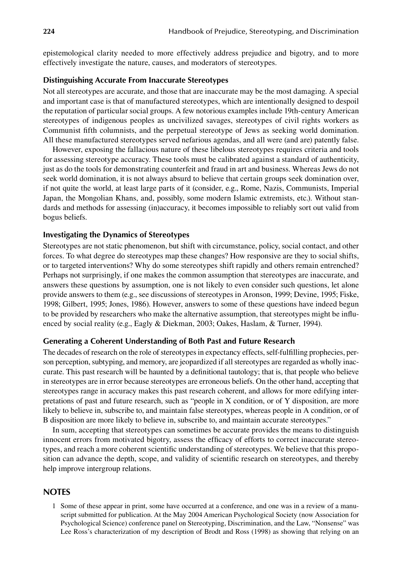epistemological clarity needed to more effectively address prejudice and bigotry, and to more effectively investigate the nature, causes, and moderators of stereotypes.

# **Distinguishing Accurate From Inaccurate Stereotypes**

Not all stereotypes are accurate, and those that are inaccurate may be the most damaging. A special and important case is that of manufactured stereotypes, which are intentionally designed to despoil the reputation of particular social groups. A few notorious examples include 19th-century American stereotypes of indigenous peoples as uncivilized savages, stereotypes of civil rights workers as Communist fifth columnists, and the perpetual stereotype of Jews as seeking world domination. All these manufactured stereotypes served nefarious agendas, and all were (and are) patently false.

However, exposing the fallacious nature of these libelous stereotypes requires criteria and tools for assessing stereotype accuracy. These tools must be calibrated against a standard of authenticity, just as do the tools for demonstrating counterfeit and fraud in art and business. Whereas Jews do not seek world domination, it is not always absurd to believe that certain groups seek domination over, if not quite the world, at least large parts of it (consider, e.g., Rome, Nazis, Communists, Imperial Japan, the Mongolian Khans, and, possibly, some modern Islamic extremists, etc.). Without standards and methods for assessing (in)accuracy, it becomes impossible to reliably sort out valid from bogus beliefs.

## **Investigating the Dynamics of Stereotypes**

Stereotypes are not static phenomenon, but shift with circumstance, policy, social contact, and other forces. To what degree do stereotypes map these changes? How responsive are they to social shifts, or to targeted interventions? Why do some stereotypes shift rapidly and others remain entrenched? Perhaps not surprisingly, if one makes the common assumption that stereotypes are inaccurate, and answers these questions by assumption, one is not likely to even consider such questions, let alone provide answers to them (e.g., see discussions of stereotypes in Aronson, 1999; Devine, 1995; Fiske, 1998; Gilbert, 1995; Jones, 1986). However, answers to some of these questions have indeed begun to be provided by researchers who make the alternative assumption, that stereotypes might be influenced by social reality (e.g., Eagly & Diekman, 2003; Oakes, Haslam, & Turner, 1994).

#### **Generating a Coherent Understanding of Both Past and Future Research**

The decades of research on the role of stereotypes in expectancy effects, self-fulfilling prophecies, person perception, subtyping, and memory, are jeopardized if all stereotypes are regarded as wholly inaccurate. This past research will be haunted by a definitional tautology; that is, that people who believe in stereotypes are in error because stereotypes are erroneous beliefs. On the other hand, accepting that stereotypes range in accuracy makes this past research coherent, and allows for more edifying interpretations of past and future research, such as "people in X condition, or of Y disposition, are more likely to believe in, subscribe to, and maintain false stereotypes, whereas people in A condition, or of B disposition are more likely to believe in, subscribe to, and maintain accurate stereotypes."

In sum, accepting that stereotypes can sometimes be accurate provides the means to distinguish innocent errors from motivated bigotry, assess the efficacy of efforts to correct inaccurate stereotypes, and reach a more coherent scientific understanding of stereotypes. We believe that this proposition can advance the depth, scope, and validity of scientific research on stereotypes, and thereby help improve intergroup relations.

# **Notes**

1 Some of these appear in print, some have occurred at a conference, and one was in a review of a manuscript submitted for publication. At the May 2004 American Psychological Society (now Association for Psychological Science) conference panel on Stereotyping, Discrimination, and the Law, "Nonsense" was Lee Ross's characterization of my description of Brodt and Ross (1998) as showing that relying on an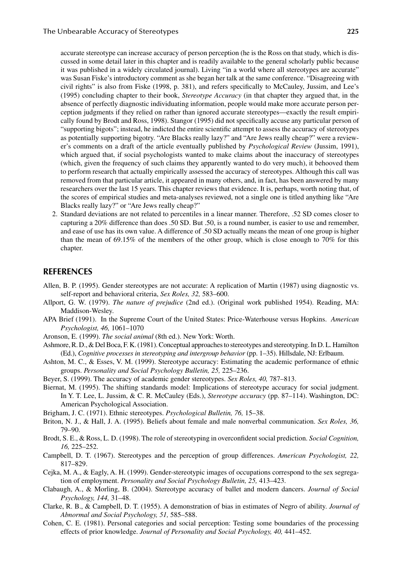accurate stereotype can increase accuracy of person perception (he is the Ross on that study, which is discussed in some detail later in this chapter and is readily available to the general scholarly public because it was published in a widely circulated journal). Living "in a world where all stereotypes are accurate" was Susan Fiske's introductory comment as she began her talk at the same conference. "Disagreeing with civil rights" is also from Fiske (1998, p. 381), and refers specifically to McCauley, Jussim, and Lee's (1995) concluding chapter to their book, *Stereotype Accuracy* (in that chapter they argued that, in the absence of perfectly diagnostic individuating information, people would make more accurate person perception judgments if they relied on rather than ignored accurate stereotypes—exactly the result empirically found by Brodt and Ross, 1998). Stangor (1995) did not specifically accuse any particular person of "supporting bigots"; instead, he indicted the entire scientific attempt to assess the accuracy of stereotypes as potentially supporting bigotry. "Are Blacks really lazy?" and "Are Jews really cheap?" were a reviewer's comments on a draft of the article eventually published by *Psychological Review* (Jussim, 1991), which argued that, if social psychologists wanted to make claims about the inaccuracy of stereotypes (which, given the frequency of such claims they apparently wanted to do very much), it behooved them to perform research that actually empirically assessed the accuracy of stereotypes. Although this call was removed from that particular article, it appeared in many others, and, in fact, has been answered by many researchers over the last 15 years. This chapter reviews that evidence. It is, perhaps, worth noting that, of the scores of empirical studies and meta-analyses reviewed, not a single one is titled anything like "Are Blacks really lazy?" or "Are Jews really cheap?"

2. Standard deviations are not related to percentiles in a linear manner. Therefore, .52 SD comes closer to capturing a 20% difference than does .50 SD. But .50, is a round number, is easier to use and remember, and ease of use has its own value. A difference of .50 SD actually means the mean of one group is higher than the mean of 69.15% of the members of the other group, which is close enough to 70% for this chapter.

# **References**

- Allen, B. P. (1995). Gender stereotypes are not accurate: A replication of Martin (1987) using diagnostic vs. self-report and behavioral criteria, *Sex Roles, 32,* 583–600.
- Allport, G. W. (1979). *The nature of prejudice* (2nd ed.). (Original work published 1954). Reading, MA: Maddison-Wesley.
- APA Brief (1991). In the Supreme Court of the United States: Price-Waterhouse versus Hopkins. *American Psychologist, 46,* 1061–1070
- Aronson, E. (1999). *The social animal* (8th ed.). New York: Worth.
- Ashmore, R. D., & Del Boca, F. K. (1981). Conceptual approaches to stereotypes and stereotyping. In D. L. Hamilton (Ed.), *Cognitive processes in stereotyping and intergroup behavior* (pp. 1–35). Hillsdale, NJ: Erlbaum.
- Ashton, M. C., & Esses, V. M. (1999). Stereotype accuracy: Estimating the academic performance of ethnic groups. *Personality and Social Psychology Bulletin, 25,* 225–236.
- Beyer, S. (1999). The accuracy of academic gender stereotypes. *Sex Roles, 40,* 787–813.
- Biernat, M. (1995). The shifting standards model: Implications of stereotype accuracy for social judgment. In Y. T. Lee, L. Jussim, & C. R. McCauley (Eds.), *Stereotype accuracy* (pp. 87–114). Washington, DC: American Psychological Association.
- Brigham, J. C. (1971). Ethnic stereotypes. *Psychological Bulletin, 76,* 15–38.
- Briton, N. J., & Hall, J. A. (1995). Beliefs about female and male nonverbal communication. *Sex Roles, 36,* 79–90.
- Brodt, S. E., & Ross, L. D. (1998). The role of stereotyping in overconfident social prediction. *Social Cognition, 16,* 225–252.
- Campbell, D. T. (1967). Stereotypes and the perception of group differences. *American Psychologist, 22,* 817–829.
- Cejka, M. A., & Eagly, A. H. (1999). Gender-stereotypic images of occupations correspond to the sex segregation of employment. *Personality and Social Psychology Bulletin, 25,* 413–423.
- Clabaugh, A., & Morling, B. (2004). Stereotype accuracy of ballet and modern dancers. *Journal of Social Psychology, 144,* 31–48.
- Clarke, R. B., & Campbell, D. T. (1955). A demonstration of bias in estimates of Negro of ability. *Journal of Abnormal and Social Psychology, 51,* 585–588.
- Cohen, C. E. (1981). Personal categories and social perception: Testing some boundaries of the processing effects of prior knowledge. *Journal of Personality and Social Psychology, 40,* 441–452.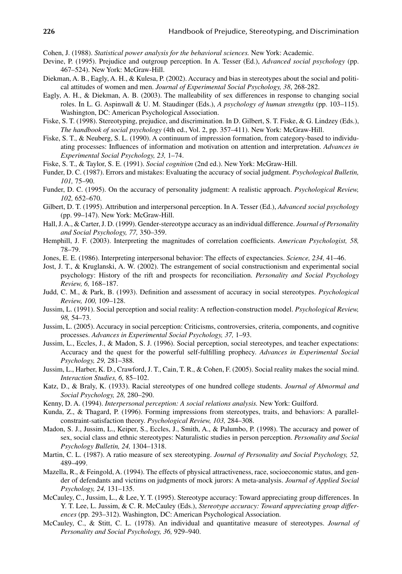Cohen, J. (1988). *Statistical power analysis for the behavioral sciences.* New York: Academic.

- Devine, P. (1995). Prejudice and outgroup perception. In A. Tesser (Ed.), *Advanced social psychology* (pp. 467–524). New York: McGraw-Hill.
- Diekman, A. B., Eagly, A. H., & Kulesa, P. (2002). Accuracy and bias in stereotypes about the social and political attitudes of women and men. *Journal of Experimental Social Psychology, 38*, 268-282.
- Eagly, A. H., & Diekman, A. B. (2003). The malleability of sex differences in response to changing social roles. In L. G. Aspinwall & U. M. Staudinger (Eds.), *A psychology of human strengths* (pp. 103–115). Washington, DC: American Psychological Association.
- Fiske, S. T. (1998). Stereotyping, prejudice, and discrimination. In D. Gilbert, S. T. Fiske, & G. Lindzey (Eds.), *The handbook of social psychology* (4th ed., Vol. 2, pp. 357–411). New York: McGraw-Hill.
- Fiske, S. T., & Neuberg, S. L. (1990). A continuum of impression formation, from category-based to individuating processes: Influences of information and motivation on attention and interpretation. *Advances in Experimental Social Psychology, 23,* 1–74.
- Fiske, S. T., & Taylor, S. E. (1991). *Social cognition* (2nd ed.). New York: McGraw-Hill.
- Funder, D. C. (1987). Errors and mistakes: Evaluating the accuracy of social judgment. *Psychological Bulletin, 101,* 75–90.
- Funder, D. C. (1995). On the accuracy of personality judgment: A realistic approach. *Psychological Review, 102,* 652–670.
- Gilbert, D. T. (1995). Attribution and interpersonal perception. In A. Tesser (Ed.), *Advanced social psychology* (pp. 99–147). New York: McGraw-Hill.
- Hall, J. A., & Carter, J. D. (1999). Gender-stereotype accuracy as an individual difference. *Journal of Personality and Social Psychology, 77,* 350–359.
- Hemphill, J. F. (2003). Interpreting the magnitudes of correlation coefficients. *American Psychologist, 58,* 78–79.
- Jones, E. E. (1986). Interpreting interpersonal behavior: The effects of expectancies. *Science, 234,* 41–46.
- Jost, J. T., & Kruglanski, A. W. (2002). The estrangement of social constructionism and experimental social psychology: History of the rift and prospects for reconciliation. *Personality and Social Psychology Review, 6,* 168–187.
- Judd, C. M., & Park, B. (1993). Definition and assessment of accuracy in social stereotypes. *Psychological Review, 100,* 109–128.
- Jussim, L. (1991). Social perception and social reality: A reflection-construction model. *Psychological Review, 98,* 54–73.
- Jussim, L. (2005). Accuracy in social perception: Criticisms, controversies, criteria, components, and cognitive processes. *Advances in Experimental Social Psychology, 37,* 1–93.
- Jussim, L., Eccles, J., & Madon, S. J. (1996). Social perception, social stereotypes, and teacher expectations: Accuracy and the quest for the powerful self-fulfilling prophecy. *Advances in Experimental Social Psychology, 29,* 281–388.
- Jussim, L., Harber, K. D., Crawford, J. T., Cain, T. R., & Cohen, F. (2005). Social reality makes the social mind. *Interaction Studies, 6,* 85–102.
- Katz, D., & Braly, K. (1933). Racial stereotypes of one hundred college students. *Journal of Abnormal and Social Psychology, 28,* 280–290.
- Kenny, D. A. (1994). *Interpersonal perception: A social relations analysis.* New York: Guilford.
- Kunda, Z., & Thagard, P. (1996). Forming impressions from stereotypes, traits, and behaviors: A parallelconstraint-satisfaction theory. *Psychological Review, 103,* 284–308.
- Madon, S. J., Jussim, L., Keiper, S., Eccles, J., Smith, A., & Palumbo, P. (1998). The accuracy and power of sex, social class and ethnic stereotypes: Naturalistic studies in person perception. *Personality and Social Psychology Bulletin, 24,* 1304–1318.
- Martin, C. L. (1987). A ratio measure of sex stereotyping. *Journal of Personality and Social Psychology, 52,* 489–499.
- Mazella, R., & Feingold, A. (1994). The effects of physical attractiveness, race, socioeconomic status, and gender of defendants and victims on judgments of mock jurors: A meta-analysis. *Journal of Applied Social Psychology, 24,* 131–135.
- McCauley, C., Jussim, L., & Lee, Y. T. (1995). Stereotype accuracy: Toward appreciating group differences. In Y. T. Lee, L. Jussim, & C. R. McCauley (Eds.), *Stereotype accuracy: Toward appreciating group differences* (pp. 293–312). Washington, DC: American Psychological Association.
- McCauley, C., & Stitt, C. L. (1978). An individual and quantitative measure of stereotypes. *Journal of Personality and Social Psychology, 36,* 929–940.